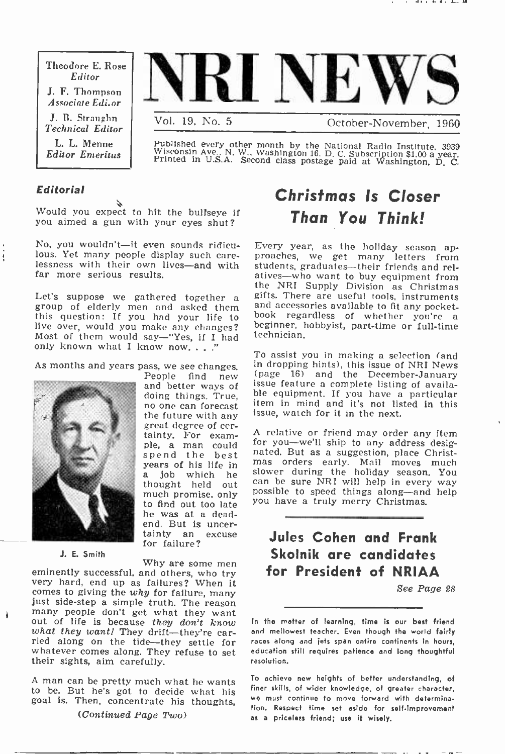Theodore E. Rose Editor J. F. Thompson Associate Editor

J. B. Straughn Technical Editor L. L. Menne Editor Emeritus



October-November, 1960

Published every other month by the National Radio Institute. 3939<br>Wisconsin Ave.. N. W., Washington 16. D. C. Subscription \$1.00 a year.<br>Printed in U.S.A. Second class postage paid at Washington, D. C.

## Editorial

ŧ

Would you expect to hit the bullseye if you aimed a gun with your eyes shut?

No, you wouldn't-it even sounds ridicu-<br>lous. Yet many people display such care-No, you wouldn't—it even sounds ridicu- Every year, as the holiday season ap-<br>lous. Yet many people display such care- proaches, we get many letters from<br>lessness with their own lives—and with students graduates—their frie far more serious results.

Let's suppose we gathered together a gif<br>group of elderly men and asked them and<br>this question: If you had your life to bo live over, would you make any changes? beginner, hobbyist, part-time or full-time Most of them would say—"Yes, if I had technician. only known what I know now...



J. E. Smith

spend the best years of his life i<mark>n</mark><br>a job which he much promise, only to find out too late he was at a dead-<br>end. But is uncertainty an excuse<br>for failure?

Why are some men<br>eminently successful, and others, who try<br>very hard, end up as failures? When it comes to giving the why for failure, many just side-step a simple truth. The reason many people don't get what they want<br>out of life is because they don't know lat<br>what they want! They drift—they're car-<br>and what they want! They drift—they're carried along on the tide—they settle for whatever comes along. They refuse to set their sights, aim carefully.

A man can be pretty much what he wants to be. But he's got to decide what his goal is. Then, concentrate his thoughts,

## Christmas Is Closer Than You Think!

proaches, we get many letters from atives-who want to buy equipment from the NRI Supply Division as Christmas gifts. There are useful tools, instruments<br>and accessories available to fit any pocketbook regardless of whether you're a technician.

As months and years pass, we see changes. In dropping hints), this issue of NRI News<br>People find new (page 16) and the December-January<br>and better ways of issue feature a complete listing of availadoing things. True, ble equipment. If you have a particular<br>no one can forecast item in mind and it's not listed in this To assist you in making a selection (and in dropping hints), this issue of NRI News issue feature a complete listing of available equipment. If you have a particular issue, watch for it in the next.

the future with any issue, watch for it in the next.<br>great degree of cer-<br>tainty. For exam- A relative or friend may order any item<br>ple, a man could for you—we'll ship to any address desig-<br>ple, a man could for you—we'll thought held out <sup>can be</sup> sure NRI will help in every way<br>much promise only - <sup>possible</sup> to speed things along—and help A relative or friend may order any item for you-we'll ship to any address desigmas orders early. Mail moves much slower during the holiday season. You can be sure NRI will help in every way possible to speed things along-and help you have a truly merry Christmas.

## Jules Cohen and Frank Skolnik are candidates for President of NRIAA

See Page 28

In the matter of learning, time is our best friend and mellowest teacher. Even though the world fairly races along and jets span entire continents in hours, education still requires patience and long thoughtful resolution.

To achieve new heights of better understanding, of finer skills, of wider knowledge, of greater character, wo must continue to move forward with determination. Respect time set aside for self-improvement as a priceless friend; use it wisely.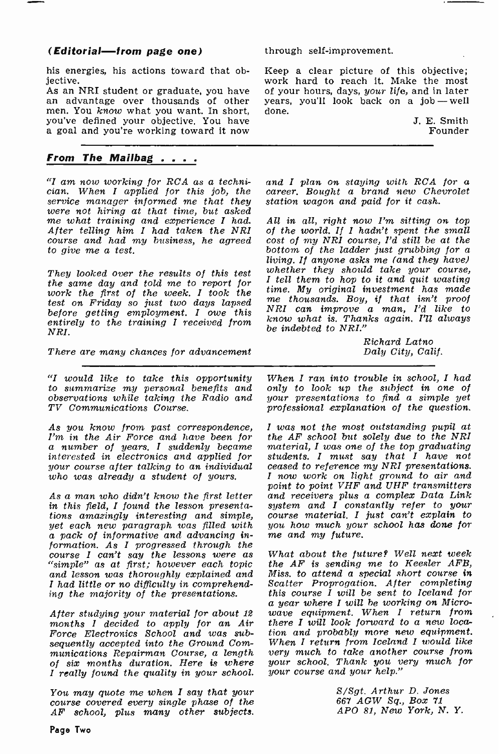## (Editorial-from page one)

his energies, his actions toward that objective.

As an NRI student or graduate, you have an advantage over thousands of other years,<br>men. You know what you want. In short, done. you've defined your objective. You have a goal and you're working toward it now

## From The Mailbag . . . .

"I am now working for RCA as a techni-"I am now working for RCA as a techni- and I plan on staying with RCA for a cian. When I applied for this job, the career. Bought a brand new Chevrolet service manager informed me that they were not hiring at that time, but asked me what training and experience I had.<br>After telling him I had taken the NRI  $\frac{1}{2}$  course and had my business, he agreed cost of my NRI course, I'd still be at the to give me a test.<br>bottom of the ladder just grubbing for a to give me a test.

They looked over the results of this test whether they should take your course,<br>the same day and told me to report for I tell them to hop to it and quit wasting the same day and told me to report for  $\overline{I}$  tell them to hop to it and quit wasting work the first of the week. I took the<br>test on Friday so just two days lapsed test on Friday so just two days tapsed NRI can improve a man, I'd like to entirely to the training I received from NEI.

There are many chances for advancement

"I would like to take this opportunity to summarize my personal benefits and observations while taking the Radio and your presentations to find a simple yet<br>TV Communications Course. professional explanation of the question. TV Communications Course.

As you know from past correspondence, I'm in the Air Force and have been for a number of years. I suddenly became interested in electronics and applied for your course after talking to an individual who was already a student of yours.

As a man who didn't know the first letter in this field, I found the lesson presenta- tions amazingly interesting and simple, yet each new paragraph was filled with you how much your<br>a pack of informative and advancing in- me and my future. a pack of informative and advancing information. As I progressed through the course I can't say the lessons were as "simple" as at first; however each topic and lesson was thoroughly explained and <sup>I</sup>had little or no difficulty in comprehend- ing the majority of the presentations.

months I decided to apply for an Air Force Electronics School and was subsequently accepted into the Ground Communications Repairman Course, a length of six months duration. Here is where I really found the quality in your school.

You may quote me when I say that your course covered every single phase of the AF school, plus many other subjects. through self-improvement.

Keep a clear picture of this objective; work hard to reach it. Make the most of your hours, days, your life, and in later years, you'll look back on a job-well

> J. E. Smith Founder

career. Bought a brand new Chevrolet station wagon and paid for it cash.

All in all, right now I'm sitting on top of the world. If I hadn't spent the small cost of my NRI course, I'd still be at the living. If anyone asks me (and they have) whether they should take your course, me thousands. Boy, if that isn't proof know what is. Thanks again. I'll always be indebted to NRI."

> Richard Latno Daly City, Calif.

When I ran into trouble in school, I had only to look up the subject in one of  $your$  presentations to find a simple  $yet$ 

I was not the most outstanding pupil at the AF school but solely due to the NRI material, I was one of the top graduating students. I must say that I have not ceased to reference my NRI presentations. I now work on light ground to air and point to point VHF and UHF transmitters and receivers plus a complex Data Link system and I constantly refer to your course material. I just can't explain to you how much your school has done for

a year where I will be working on Micro-<br>After studying your material for about 12 wave equipment. When I return from What about the future? Well next week the AF is sending me to Keesler AFB, Miss. to attend a special short course in Scatter Proprogation. After completing this course I will be sent to Iceland for wave equipment. When I return from there I will look forward to a new location and probably more new equipment. When I return from Iceland I would like very much to take another course from your school. Thank you very much for your course and your help."

> S/Sgt. Arthur D. Jones 667 AGW Sq., Box 71 APO 81, New York, N. Y.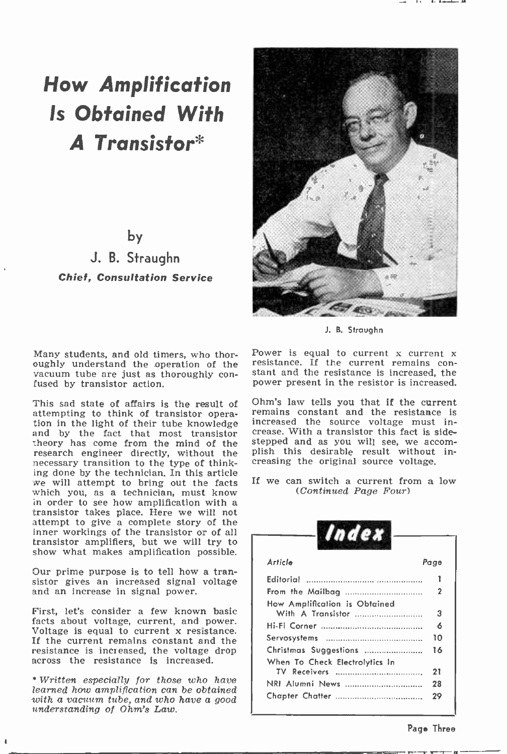# How Amplification Is Obtained With A Transistor\*

by

J. B. Straughn Chief, Consultation Service

Many students, and old timers, who thoroughly understand the operation of the vacuum tube are just as thoroughly con-<br>fused by transistor action.

This sad state of affairs is the result of attempting to think of transistor operation in the light of their tube knowledge increased the source voltage must in-<br>and by the fact that most transistor crease. With a transistor this fact is sidetheory has come from the mind of the stepped and as you will see, we accom-<br>research engineer directly, without the plish this desirable result without inresearch engineer directly, without the necessary transition to the type of thinking done by the technician. In this article we will attempt to bring out the facts we will attempt to bring out the facts<br>which you, as a technician, must know<br>in order to see how amplification with a transistor takes place. Here we will not attempt to give a complete story of the inner workings of the transistor or of all transistor amplifiers, but we will try to show what makes amplification possible.

Our prime purpose is to tell how a transistor gives an increased signal voltage and an increase in signal power.

First, let's consider a few known basic facts about voltage, current, and power. Voltage is equal to current x resistance. If the current remains constant and the resistance is increased, the voltage drop across the resistance is increased.

Written especially for those who have learned how amplification can be obtained with a vacuum tube, and who have a good understanding of Ohm's Law.



J. B. Stroughn

Power is equal to current x current x resistance. If the current remains constant and the resistance is increased, the power present in the resistor is increased.

Ohm's law tells you that If the current remains constant and the resistance is increased the source voltage must instepped and as you will see, we accomcreasing the original source voltage.

If we can switch a current from a low (Continued Page Four)

| Article                        | Page |
|--------------------------------|------|
| Editorial                      |      |
| From the Mailbag               | 2    |
| How Amplification is Obtained  |      |
|                                | 3    |
|                                | 6    |
|                                | 10   |
| Christmas Suggestions          | 16   |
| When To Check Electrolytics In |      |
|                                | 21   |
| NRI Alumni News                | 28   |
|                                | 29   |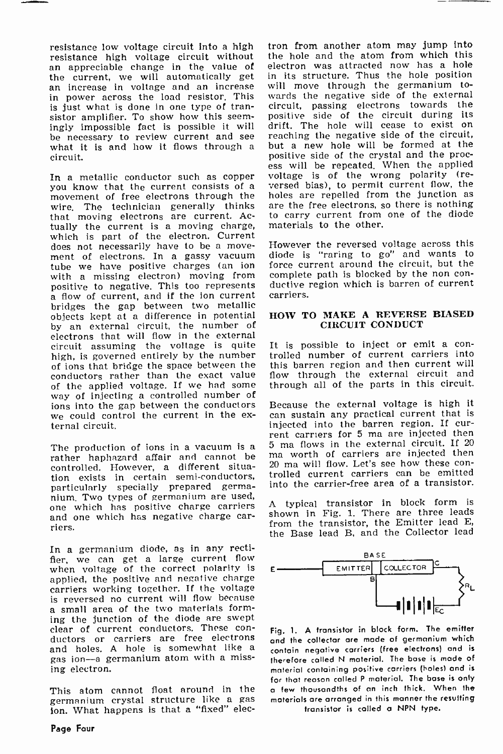resistance low voltage circuit into a high resistance high voltage circuit without an appreciable change in the value of the current, we will automatically get an increase in voltage and an increase in power across the load resistor. This is just what is done in one type of tran-<br>sistor amplifier. To show how this seemingly impossible fact is possible it will drift. The hole will cease to exist on<br>he necessary to review current and see reaching the negative side of the circuit, be necessary to review current and see what it is and how it flows through a circuit.

In a metallic conductor such as copper<br>you know that the current consists of a you know that the current consists of a movement of free electrons through the holes are repelled from the junction as wire. The technician generally thinks that moving electrons are current. Actually the current is a moving charge, which is part of the electron. Current does not necessarily have to be a move-<br>ment of electrons. In a gassy vacuum diode is "raring to go" and wants to<br>tube we have positive charges (an ion force current around the circuit, but he<br>with a missing electron) movi with a missing electron) moving from<br>positive to negative. This too represents positive to negative. This too represents duc<br>a flow of current, and if the ion current carr bridges the gap between two metallic objects kept at a difference in potential by an external circuit, the number of electrons that will flow in the external circuit assuming the voltage is quite It is possible to inject or emit a contained particle is governed entirely by the number trolled number of current carriers into high, is governed entirely by the number of ions that bridge the space between the conductors rather than the exact value<br>of the applied voltage. If we had some way of injecting a controlled number of<br>jons into the gap between the conductors Because the external voltage is high it ions into the gap between the conductors we could control the current in the ex-<br>ternal circuit.

The production of ions in a vacuum is a rather in the external circuit. If 20<br>rather haphazard affair and cannot be run worth of carriers are injected then<br>and House and House and cannot be a rather and will flow. Let's s controlled. However, a different situation exists in certain semi -conductors, particularly specially prepared germanium. Two types of germanium are used, one which has positive charge carriers and one which has negative charge car- riers.

In a germanium diode, as in any rectifier, we can get a large current flow when voltage of the correct polarity is  $\epsilon$ applied, the positive and negative charge carriers working together. If the voltage is reversed no current will flow because a small area of the two materials forming the junction of the diode are swept clear of current conductors. These con-<br>ductors or carriers are free electrons <sub>and</sub> and holes. A hole is somewhat like a gas ion-a germanium atom with a missing electron.

This atom cannot float around in the germanium crystal structure like a gas ion. What happens is that a "fixed" elec-

tron from another atom may jump into the hole and the atom from which this electron was attracted now has a hole in its structure. Thus the hole position will move through the germanium towards the negative side of the external circuit, passing electrons towards the positive side of the circuit during its drift. The hole will cease to exist on reaching the negative side of the circuit, but a new hole will be formed at the positive side of the crystal and the proc- ess will be repeated. When the applied voltage is of the wrong polarity (reversed bias), to permit current flow, the are the free electrons, so there is nothing to carry current from one of the diode materials to the other.

However the reversed voltage across this diode is "raring to go" and wants to force current around the circuit, but the ductive region which is barren of current carriers.

### HOW TO MAKE A REVERSE BIASED CIRCUIT CONDUCT

It is possible to inject or emit a conthis barren region and then current will flow through the external circuit and through all of the parts in this circuit.

can sustain any practical current that is injected into the barren region. If cur- rent carriers for 5 ma are injected then 5 ma flows in the external circuit. If 20 trolled current carriers can be emitted into the carrier -free area of a transistor.

<sup>A</sup>typical transistor in block form is shown in Fig. 1. There are three leads from the transistor, the Emitter lead E, the Base lead B, and the Collector lead



Fig. 1. A transistor in block form. The emitter and the collector are made of germanium which contain negative carriers (free electrons) and is therefore called N material. The base is made of material containing positive carriers (holes) and is for that reason called P material. The base is only a few thousandths of an inch thick. When the materials are arranged in this manner the resulting

transistor is called a NPN type.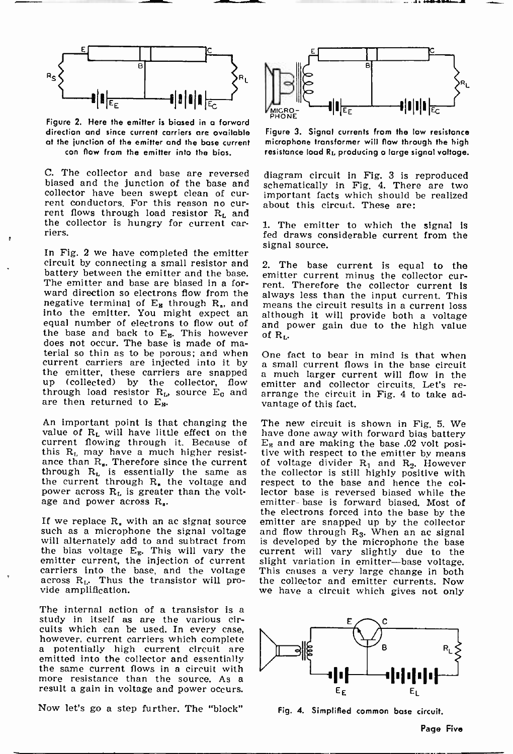

Figure 2. Here the emitter is biased in o forward direction and since current carriers are available at the junction of the emitter and the base current can flow from the emitter into the bias.

C. The collector and base are reversed diagram circuit in Fig. 3 is reproduced biased and the junction of the base and collector have been swept clean of cur-<br>rent conductors. For this reason no cur-<br>rent flows through load resistor  $R_L$  and the collector is hungry for current car- riers.

In Fig. 2 we have completed the emitter circuit by connecting a small resistor and battery between the emitter and the base. The emitter and base are biased in a for-The emitter and base are biased in a for-<br>ward direction so electrons flow from the always less than the input current. This negative terminal of  $E_B$  through  $R_s$ , and into the emitter. You might expect an although it will provide both a voltage equal number of electrons to flow out of and power gain due to the high value the base and back to  $E_{R}$ . This however does not occur. The base is made of material so thin as to be porous; and when<br>current carriers are injected into it by current carriers are injected into it by a small current flows in the base circuit<br>the emitter, these carriers are snapped a much larger current will flow in the up (collected) by the collector, flow emitter and collector circuits. Let's rethrough load resistor  $R_L$ , source  $E_0$  and are then returned to  $E_{\rm m}$ .

An important point is that changing the The new circuit is shown in Fig. 5. We value of  $R_L$  will have little effect on the have done away with forward bias battery value of  $R_L$  will have little effect on the current flowing through it. Because of this  $R_L$  may have a much higher resistthis  $R_L$  may have a much higher resist-<br>ance than  $R_s$ . Therefore since the current of voltage divider  $R_1$  and  $R_2$ . However through  $R_L$  is essentially the same as the current through  $R_L$  the voltage and power across  $R_L$  is greater than the voltage and power across  $R_e$ .

If we replace  $R<sub>s</sub>$  with an ac signal source such as a microphone the signal voltage will alternately add to and subtract from the bias voltage  $E_E$ . This will vary the emitter current, the injection of current<br>carriers into the base, and the voltage across R<sub>L</sub>. Thus the transistor will pro- vide amplification.

The internal action of a transistor is a study in itself as are the various circuits which can be used. In every case, however, current carriers which complete<br>a potentially high current circuit are<br>emitted into the collector and essentially the same current flows in a circuit with more resistance than the source. As a result a gain in voltage and power occurs.

Now let's go a step further. The "block" Fig. 4. Simplified common base circuit.



Figure 3. Signal currents from the low resistance microphone transformer will flow through the high resistance load RL producing a large signal voltage.

schematically in Fig. 4. There are two important facts which should be realized about this circuit. These are:

1. The emitter to which the signal is fed draws considerable current from the signal source.

2. The base current is equal to the emitter current minus the collector curmeans the circuit results in a current loss although it will provide both a voltage of RL.

One fact to bear in mind is that when arrange the circuit in Fig. 4 to take advantage of this fact.

The new circuit is shown in Fig. 5. We  $E<sub>E</sub>$  and are making the base .02 volt posithe collector is still highly positive with respect to the base and hence the collector base is reversed biased while the emitter- base is forward biased. Most of the electrons forced into the base by the emitter are snapped up by the collector and flow through  $R_3$ . When an ac signal is developed by the microphone the base current will vary slightly due to the slight variation in emitter-base voltage.<br>This causes a very large change in both the collector and emitter currents. Now we have a circuit which gives not only



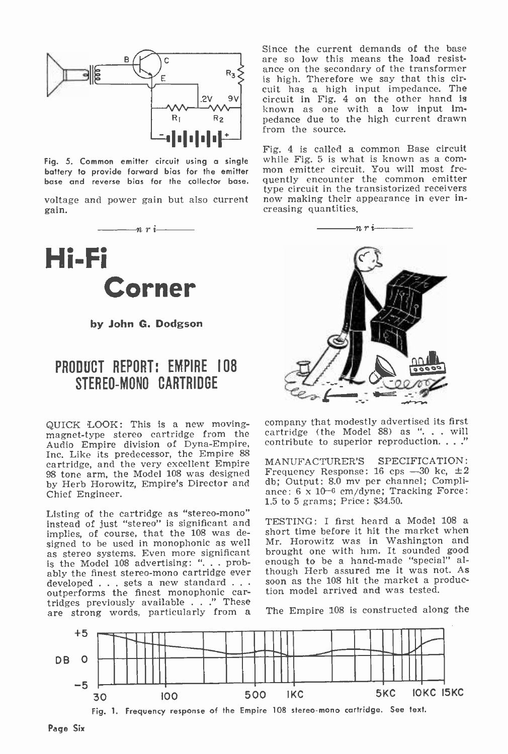

battery to provide forward bias for the emitter

voltage and power gain but also current gain.



by John G. Dodgson

Corner

## PRODUCT REPORT; EMPIRE 108 STEREO-MONO CARTRIDGE

QUICK LOOK: This is a new moving - magnet -type stereo cartridge from the Audio Empire division of Dyna-Empire, Inc. Like its predecessor, the Empire 88 cartridge, and the very excellent Empire 98 tone arm, the Model 108 was designed by Herb Horowitz, Empire's Director and Chief Engineer.

Listing of the cartridge as "stereo-mono"<br>instead of just "stereo" is significant and TESTING: I first heard a Model 108 a instead of just "stereo" is significant and implies, of course, that the 108 was designed to be used in monophonic as well Mr<br>as stereo systems. Even more significant bro is the Model 108 advertising: "... probably the finest stereo-mono cartridge ever though Herb assured me it was not. As<br>developed sets a new standard . . . soon as the 108 hit the market a producdeveloped  $\dots$  sets a new standard  $\dots$  outperforms the finest monophonic cartridges previously available . . ." These are strong words, particularly from a

Since the current demands of the base are so low this means the load resist- ance on the secondary of the transformer is high. Therefore we say that this circuit has a high input impedance. The circuit in Fig. 4 on the other hand is known as one with a low input impedance due to the high current drawn<br>from the source.

Fig. 5. Common emitter circuit using a single while Fig. 5 is what is known as a combase and reverse bias for the collector base. quently encounter the common emitter<br>type circuit in the transistorized receivers Fig. 4 is called a common Base circuit mon emitter circuit. You will most frequently encounter the common emitter now making their appearance in ever in-



company that modestly advertised its first cartridge (the Model 88) as ". . . will contribute to superior reproduction...."

MANUFACTURER'S SPECIFICATION: Frequency Response: 16 cps  $-30$  kc,  $\pm 2$ db; Output: 8.0 my per channel; Compliance: 6 x 10-6 cm/dyne; Tracking Force: 1.5 to 5 grams; Price: \$34.50.

short time before it hit the market when Mr. Horowitz was in Washington and brought one with him. It sounded good enough to be a hand-made "special" although Herb assured me it was not. As tion model arrived and was tested.

The Empire 108 is constructed along the

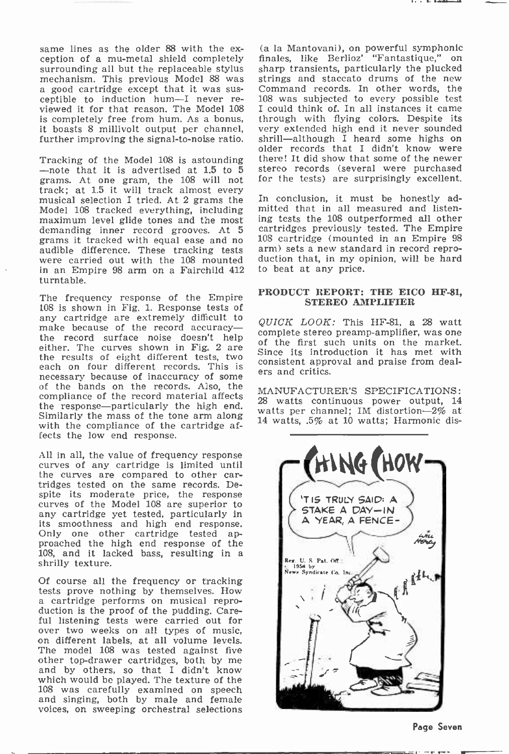same lines as the older 88 with the ex- (a la Mantovani), on powerful symphonic ception of a mu-metal shield completely finales, like Berlioz' "Fantastique," on surrounding all but the replaceable stylus sharp transients, a good cartridge except that it was sus-<br>command records. In other words, the<br>ceptible to induction hum-I never re- 108 was subjected to every possible test<br>viewed it for that reason. The Model 108 I could think of. In all is completely free from hum. As a bonus, it boasts 8 millivolt output per channel, very extended high end it never sounded further improving the signal-to-noise ratio. shrill—although I heard some highs on

grams. At one gram, the 108 will not musical selection I tried. At 2 grams the<br>Model 108 tracked everything, including maximum level glide tones and the most demanding inner record grooves. At 5 grams it tracked with equal ease and no audible difference. These tracking tests arm) sets a new standard in record repro-<br>were carried out with the 108 mounted duction that, in my opinion, will be hard in an Empire 98 arm on a Fairchild 412 turntable.

The frequency response of the Empire 108 is shown in Fig. 1. Response tests of any cartridge are extremely difficult to make because of the record accuracythe record surface noise doesn't help co. either. The curves shown in Fig. 2 are  $\frac{01}{\text{Sin}}$ the results of eight different tests, two each on four different records. This is consistent approof the bands on the records. Also, the compliance of the record material affects the response-particularly the high end. Similarly the mass of the tone arm along with the compliance of the cartridge affects the low end response.

All in all, the value of frequency response curves of any cartridge is limited until the curves are compared to other cartridges tested on the same records. Despite its moderate price, the response curves of the Model 108 are superior to any cartridge yet tested, particularly in<br>its smoothness and high end response. Only one other cartridge tested ap-<br>proached the high end response of the 108, and it lacked bass, resulting in a shrilly texture.

Of course all the frequency or tracking tests prove nothing by themselves. How a cartridge performs on musical repro-<br>duction is the proof of the pudding. Careful listening tests were carried out for over two weeks on all types of music, on different labels, at all volume levels. The model 108 was tested against five other top-drawer cartridges, both by me and by others, so that I didn't know which would be played. The texture of the <sup>108</sup>was carefully examined on speech and singing, both by male and female voices, on sweeping orchestral selections

further improving the signal-to-noise ratio. shrill—although I heard some highs on<br>older records that I didn't know were Tracking of the Model 108 is astounding there! It did show that some of the newer --- note that it is advertised at  $1.5$  to  $5$  stereo records (several were purchased grams At one gram the  $108$  will not for the tests) a (a la Mantovani), on powerful symphonic sharp transients, particularly the plucked 108 was subjected to every possible test through with flying colors. Despite its very extended high end it never sounded there! It did show that some of the newer stereo records (several were purchased

> In conclusion, it must be honestly admitted that in all measured and listening tests the 108 outperformed all other cartridges previously tested. The Empire 108 cartridge (mounted in an Empire 98 duction that, in my opinion, will be hard to beat at any price.

#### PRODUCT REPORT: THE EICO HF-81, STEREO AMPLIFIER

QUICK LOOK: This HF-81, a 28 watt complete stereo preamp-amplifier, was one of the first such units on the market. Since its introduction it has met with consistent approval and praise from deal-

MANUFACTURER'S SPECIFICATIONS: 28 watts continuous power output, 14 watts per channel; IM distortion $-2\%$  at 14 watts, .5% at 10 watts; Harmonic dis-



Page Seven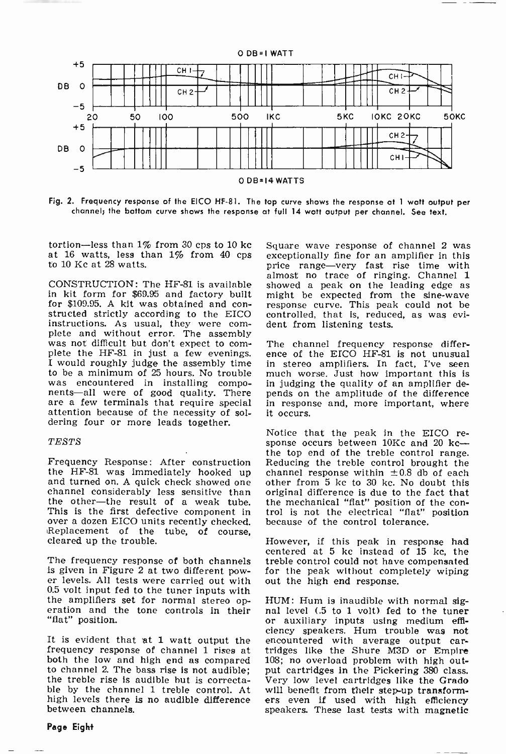

Fig. 2. Frequency response of the EICO HF -81. The top curve shows the response at 1 watt output per channel; the bottom curve shows the response at full 14 watt output per channel. See text.

tortion—less than  $1\%$  from 30 cps to 10 kc Square wave response of channel 2 was at 16 watts, less than  $1\%$  from 40 cps exceptionally fine for an amplifier in this at 16 watts, less than 1% from 40 cps to 10 Kc at 28 watts.

in kit form for \$69.95 and factory built might be expected from the sine-wave for \$109.95. A kit was obtained and con-<br>response curve. This peak could not be structed strictly according to the EICO<br>instructions. As usual, they were cominstructions. The assembly<br>was not difficult but don't expect to com- plete the HF-81 in just a few evenings. ence of the EICO HF-81 is not unusual<br>I would roughly judge the assembly time in stereo amplifiers. In fact, I'v to be a minimum of 25 hours. No trouble was encountered in installing compo- nents-all were of good quality. There are a few terminals that require special attention because of the necessity of soldering four or more leads together.

#### TESTS

the HF -81 was immediately hooked up and turned on. A quick check showed one channel considerably less sensitive than the other—the result of a weak tube. the mechanical "flat" position of This is the first defective component in trol is not the electrical "flat" over a dozen EICO units recently checked. because of the control tolerance. Replacement of the tube, of course, cleared up the trouble.

is given in Figure 2 at two different power levels. All tests were carried out with 0.5 volt input fed to the tuner inputs with the amplifiers set for normal stereo op- HUM: Hum is inaudible with normal sig-<br>eration and the tone controls in their nal level (.5 to 1 volt) fed to the tuner<br>"flat" position. or auxiliary inputs using medium effi-"flat" position.

It is evident that at 1 watt output the frequency response of channel 1 rises at both the low and high end as compared to channel 2. The bass rise Is not audible; the treble rise Is audible but Is correctable by the channel 1 treble control. At high levels there is no audible difference ers even if used with high efficiency<br>between channels. Speakers. These last tests with magnetic between channels.

CONSTRUCTION: The HF-81 is available showed a peak on the leading edge as in kit form for \$69.95 and factory built might be expected from the sine-wave Square wave response of channel 2 was price range-very fast rise time with almost no trace of ringing. Channel <sup>1</sup> showed a peak on the leading edge as controlled, that is, reduced, as was evident from listening tests.

> The channel frequency response differmuch worse. Just how important this is in judging the quality of an amplifier depends on the amplitude of the difference in response and, more important, where

Frequency Response: After construction Reducing the treble control brought the Notice that the peak in the EICO response occurs between  $10Kc$  and 20 kc-the top end of the treble control range. channel response within  $\pm 0.8$  db of each other from 5 kc to 30 kc. No doubt this original difference is due to the fact that the mechanical "flat" position of the con-<br>trol is not the electrical "flat" position

The frequency response of both channels treble control could not have compensated However, if this peak in response had centered at 5 kc instead of 15 kc, the for the peak without completely wiping out the high end response.

> HUM: Hum is inaudible with normal sigciency speakers. Hum trouble was not encountered with average output cartridges like the Shure M3D or Empire 108; no overload problem with high output cartridges in the Pickering 380 class. Very low level cartridges like the Grado will benefit from their step-up transformers even if used with high efficiency

Page Eight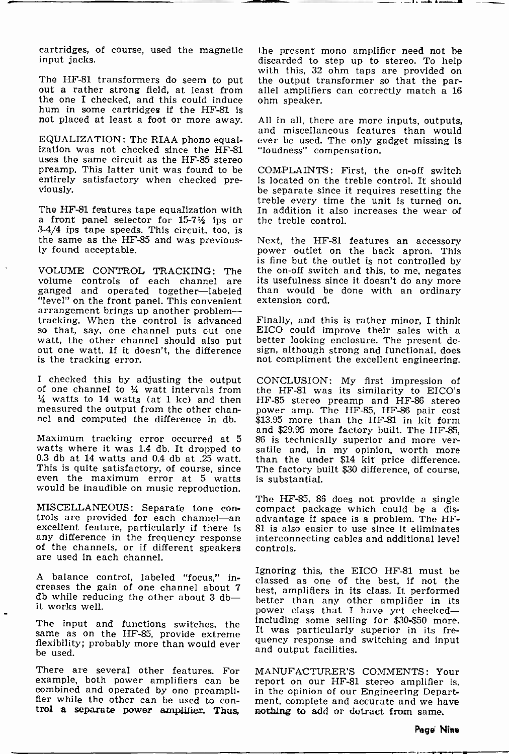cartridges, of course, used the magnetic input jacks.

out a rather strong field, at least from the one I checked, and this could induce hum in some cartridges if the HF-81 is<br>not placed at least a foot or more away. All in all, there are more inputs, outputs,

EQUALIZATION: The RIAA phono equal-<br>ization was not checked since the HF-81<br>uses the same circuit as the HF-85 stereo preamp. This latter unit was found to be entirely satisfactory when checked pre-<br>viously.

3-4/4 ips tape speeds. This circuit, too, is the same as the HF -85 and was previous- ly found acceptable.

volume controls of each channel are its usefulness since it doesn't do any more ganged and operated together—labeled than would be done with an ordinary "level" on the front panel. This convenient extension cord.<br>arrangement brings up another problem-tracking. When the control is advanced Finally, and this is rather minor, I think so that, say, one channel puts out one EICO could improve their sales with a watt, the other channel should also put better looking enclosur is the tracking error.

I checked this by adjusting the output of one channel to  $\frac{1}{4}$  watt intervals from  $\frac{1}{4}$  watts to 14 watts (at 1 kc) and then measured the output from the other channel and computed the difference in db.

watts where it was 1.4 db. It dropped to 0.3 db at 14 watts and 0.4 db at .25 watt.<br>This is quite satisfactory, of course, since even the maximum error at 5 watts would be inaudible on music reproduction.

MISCELLANEOUS: Separate tone con- trols are provided for each channel-an excellent feature, particularly if there is any difference in the frequency response of the channels, or if different speakers are used in each channel.

A balance control, labeled "focus," increases the gain of one channel about  $7\frac{6}{b}$ db while reducing the other about 3 dbit works well.

flexibility; probably more than would ever be used.

There are several other features. For example, both power amplifiers can be<br>combined and operated by one preamplifier while the other can be used to con-<br>trol a separate power amplifier. Thus,

The HF-81 transformers do seem to put the output transformer so that the par-<br>out a rather strong field, at least from allel amplifiers can correctly match a 16 the present mono amplifier need not be discarded to step up to stereo. To help with this, 32 ohm taps are provided on ohm speaker.

not placed at least a foot or more away. All in all, there are more inputs, outputs, and miscellaneous features than would ever be used. The only gadget missing is "loudness" compensation.

treble every time the unit is turned on.<br>The HF-81 features tape equalization with In addition it also increases the wear of<br>a front panel selector for 15-71/2 ips or the treble control. COMPLAINTS: First, the on-off switch is located on the treble control. It should be separate since it requires resetting the In addition it also increases the wear of. the treble control.

VOLUME CONTROL TRACKING: The the on-off switch and this, to me, negates volume controls of each channel are its usefulness since it doesn't do any more Next, the HF-81 features an accessory power outlet on the back apron. This is fine but the outlet is not controlled by

> Finally, and this is rather minor, I think EICO could improve their sales with a sign, although strong and functional, does not compliment the excellent engineering.

Maximum tracking error occurred at 5 86 is technically superior and more verwatts where it was 1.4 db. It dropped to satile and, in my opinion, worth more CONCLUSION: My first impression of the HF -81 was its similarity to EICO's HF -85 stereo preamp and HF -86 stereo power amp. The HF -85, HF -86 pair cost \$13.95 more than the HF-81 in kit form and \$29.95 more factory built. The HF-85, than the under \$14 kit price difference. The factory built \$30 difference, of course, is substantial.

> The HF -85, 86 does not provide a single compact package which could be a dis-<br>advantage if space is a problem. The HF-81 is also easier to use since it eliminates interconnecting cables and additional level controls.

The input and functions switches, the  $\frac{1}{10}$  including some seming for  $\frac{1}{2}$  was particularly superior in its free-Ignoring this, the EICO HF-81 must be classed as one of the best, if not the best, amplifiers in its class. It performed better than any other amplifier in its power class that I have yet checkedincluding some selling for \$30-\$50 more. quency response and switching and input and output facilities.

> MANUFACTURER'S COMMENTS: Your report on our HF-81 stereo amplifier is, in the opinion of our Engineering Department, complete and accurate and we have nothing to add or detract from same.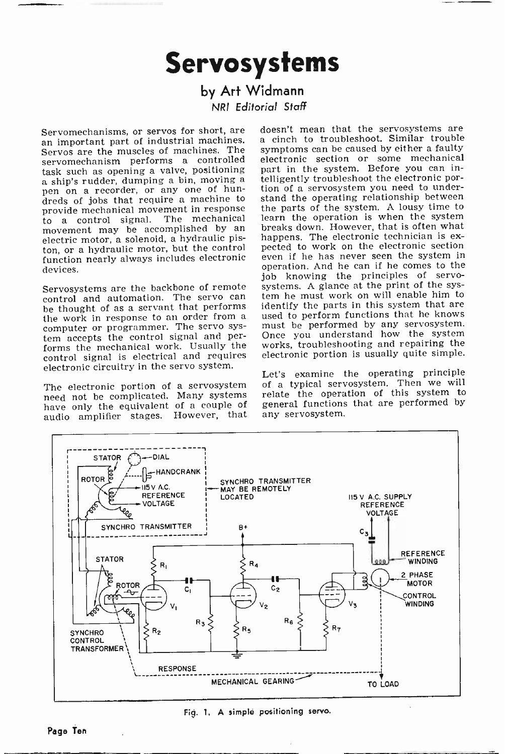# Servosystems

## by Art Widmann NRI Editorial Staff

Servos are the muscles of machines. The servomechanism performs a controlled<br>task-such-as-opening-a-valve, positioning a ship's rudder, dumping a bin, moving a pen on a recorder, or any one of hundreds of jobs that require a machine to provide mechanical movement in response to a control signal. The mechanical electric motor, a solenoid, a hydraulic piston, or a hydraulic motor, but the control pected to work on the electronic section<br>function nearly always includes electronic even if he has never seen the system in function nearly always includes electronic devices.

Servosystems are the backbone of remote control and automation. The servo can be thought of as a servant that performs computer or programmer. The servo system accepts the control signal and performs the mechanical work. Usually the control signal is electrical and requires electronic circuitry in the servo system.

The electronic portion of a servosystem need not be complicated. Many systems have only the equivalent of a couple of audio amplifier stages. However, that

Servomechanisms, or servos for short, are doesn't mean that the servosystems are an important part of industrial machines. a cinch to troubleshoot. Similar trouble a cinch to troubleshoot. Similar trouble symptoms can be caused by either a faulty electronic section or some mechanical part in the system. Before you can intelligently troubleshoot the electronic portion of a servosystem you need to understand the operating relationship between the parts of the system. A lousy time to learn the operation is when the system breaks down. However, that is often what happens. The electronic technician is exoperation. And he can if he comes to the systems. A glance at the print of the system he must work on will enable him to identify the parts in this system that are used to perform functions that he knows must be performed by any servosystem. Once you understand how the system works, troubleshooting and repairing the electronic portion is usually quite simple.

> Let's examine the operating principle of a typical servosystem. Then we will relate the operation of this system to general functions that are performed by any servosystem.



Fig. 1, A simple positioning servo.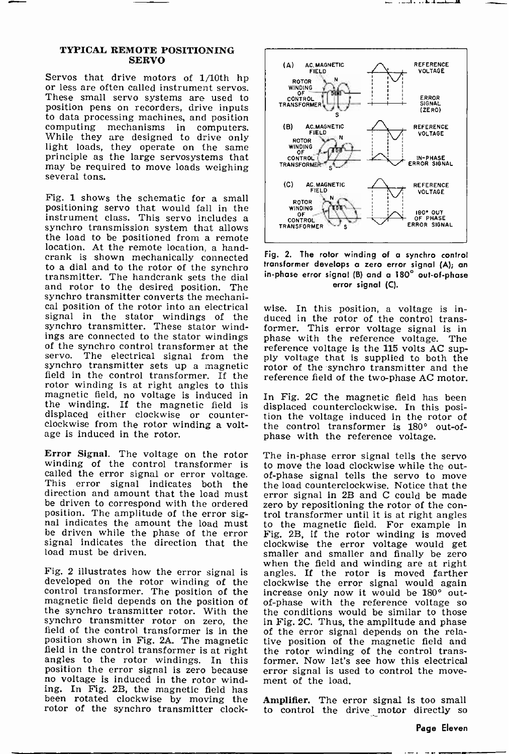#### TYPICAL REMOTE POSITIONING SERVO

Servos that drive motors of 1/10th hp or less are often called instrument servos. These small servo systems are used to position pens on recorders, drive inputs<br>to data processing machines, and position computing mechanisms in computers. While they are designed to drive only light loads, they operate on the same principle as the large servosystems that may be required to move loads weighing several tons.

Fig. 1 shows the schematic for a small positioning servo that would fall in the synchro transmission system that allows. the load to be positioned from a remote location. At the remote location, a hand-crank is shown mechanically connected to a dial and to the rotor of the synchro transmitter. The handcrank sets the dial and rotor to the desired position. The synchro transmitter converts the mechanical position of the rotor into an electrical signal in the stator windings of the synchro transmitter. These stator windings are connected to the stator windings of the synchro control transformer at the servo. The electrical signal from the ply voltage that is suppleed to both the synchro transmitter sets up a magnetic protor of the synchr field in the control transformer. If the rotor winding is at right angles to this magnetic field, no voltage is induced in the winding. If the magnetic field is displaced either clockwise or counterclockwise from the rotor winding a voltage is induced in the rotor.

**Error Signal.** The voltage on the rotor The in-phase error signal tells the servo winding of the control transformer is to move the load clockwise while the outwinding of the control transformer is to move the load clockwise while the out-<br>called the error signal or error voltage. of-phase signal tells the servo to move This error signal indicates both the the load counterclockwise. Notice that the direction and amount that the load must error signal in 2B and C could be made direction and amount that the load must be driven to correspond with the ordered zero by repositioning the rotor of the con-<br>position. The amplitude of the error sig-<br>trol transformer until it is at right angles nal indicates the amount the load must be driven while the phase of the error Fig. 2B, if the rotor winding is moved signal indicates the direction that the clockwise the error voltage would get signal indicates the direction that the load must be driven.

developed on the rotor winding of the control transformer. The position of the increase only now it would be  $180^{\circ}$  out-<br>magnetic field depends on the position of of-phase with the reference voltage so magnetic field depends on the position of of-phase with the reference voltage so<br>the synchro transmitter rotor. With the the conditions would be similar to those the synchro transmitter rotor. With the the conditions would be similar to those synchro transmitter rotor on zero, the in Fig. 2C. Thus, the amplitude and phase synchro transmitter rotor on zero, the field of the control transformer is in the<br>position shown in Fig. 2A. The magnetic field in the control transformer is at right angles to the rotor windings. In this position the error signal is zero because no voltage is induced in the rotor winding. In Fig. 2B, the magnetic field has been rotated clockwise by moving the Am rotor of the synchro transmitter clock-



بالمطافرة والمسدد



wise. In this position, a voltage is induced in the rotor of the control transformer. This error voltage signal is in phase with the reference voltage. The ply voltage that is supplied to both the rotor of the synchro transmitter and the reference field of the two-phase AC motor.

In Fig. 2C the magnetic field has been displaced counterclockwise. In this posi- tion the voltage induced in the rotor of the control transformer is 180° out-of-<br>phase with the reference voltage.

when the field and winding are at right<br>Fig. 2 illustrates how the error signal is angles. If the rotor is moved farther<br>developed on the rotor winding of the clockwise the error signal would again The in-phase error signal tells the servo trol transformer until it is at right angles to the magnetic field. For example in Fig. 2B, if the rotor winding is moved smaller and smaller and finally be zero increase only now it would be 180° outof the error signal depends on the relative position of the magnetic field and the rotor winding of the control transformer. Now let's see how this electrical error signal is used to control the move- ment of the load.

> Amplifier. The error signal is too small to control the drive motor directly so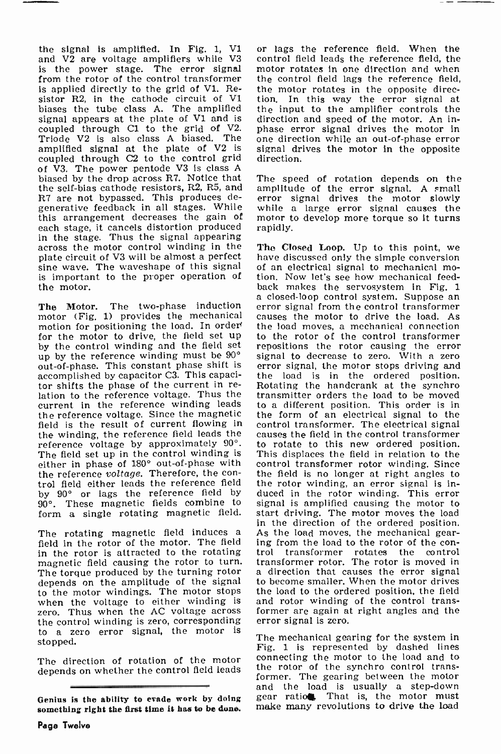the signal is amplified. In Fig. 1, V1 and V2 are voltage amplifiers while V3 is the power stage. The error signal from the rotor of the control transformer is applied directly to the grid of Vl. Resistor R2, in the cathode circuit of V1 ti biases the tube class A. The amplified  $th$ signal appears at the plate of  $V1$  and is direction and speed of the motor. An in-<br>coupled through C1 to the grid of  $V2$ , phase error signal drives the motor in coupled through Cl to the grid of V2. Triode V2 is also class A biased. The on amplified signal at the plate of V2 is signal dr coupled through C2 to the control grid direction. coupled through C2 to the control grid of V3. The power pentode V3 is class A biased by the drop across R7. Notice that the self-bias cathode resistors, R2, R5, and R7 are not bypassed. This produces degenerative feedback in all stages. While this arrangement decreases the gain of each stage, it cancels distortion produced<br>in the stage. Thus the signal appearing across the motor control winding in the The Closed Loop. Up to this point, we plate circuit of V3 will be almost a perfect have discussed only the simple conversion<br>sine wave. The waveshape of this signal of an electrical signal to mechanical mosine wave. The waveshape of this signal is important to the proper operation of the motor.

The Motor. The two-phase induction err motor (Fig. 1) provides the mechanical motor (Fig. 1) provides the mechanical causes the motor to drive the load. As motion for positioning the load. In order<sup>{1}</sup> the load moves, a mechanical connection for the motor to drive, the field set up by the control winding and the field set repositions the rotor causing the error<br>up by the reference winding must be  $90^{\circ}$  signal to decrease to zero. With a zero up by the reference winding must be 90° out-of-phase. This constant phase shift is error signal, the motor stops driving and accomplished by capacitor C3. This capaci- the load is in the ordered position. accomplished by capacitor C3. This capacitor shifts the phase of the current in re-<br>lation to the reference voltage. Thus the transmitter orders the load to be moved current in the reference winding leads the reference voltage. Since the magnetic field is the result of current flowing in control transformer. The electrical signal the winding, the reference field leads the causes the field in the control transformer the winding, the reference field leads the reference voltage by approximately  $90^\circ$ . to rotate to this new ordered position.<br>The field set up in the control winding is This displaces the field in relation to the The field set up in the control winding is either in phase of  $180^\circ$  out-of-phase with<br>the reference voltage. Therefore, the control field either leads the reference field by 90° or lags the reference field by 90°. These magnetic fields combine to

The rotating magnetic field induces a As the load moves, the mechanical gear-<br>field in the rotor of the motor. The field ing from the load to the rotor of the con-<br>in the rotor is attracted to the rotating trol transformer in the rotor is attracted to the rotating magnetic field causing the rotor to turn. transformer rotor. The rotor is moved in The torque produced by the turning rotor a direction that causes the error signal The torque produced by the turning rotor depends on the amplitude of the signal to the motor windings. The motor stops when the voltage to either winding is zero. Thus when the AC voltage across the control winding is zero, corresponding to a zero error signal, the motor is stopped.

The direction of rotation of the motor depends on whether the control field leads

or lags the reference field. When the control field leads the reference field, the motor rotates in one direction and when the control field lags the reference field, the motor rotates in the opposite direction. In this way the error signal at the input to the amplifier controls the direction and speed of the motor. An in-<br>phase error signal drives the motor in<br>one direction while an out-of-phase error signal drives the motor in the opposite

The speed of rotation depends on the amplitude of the error signal. A small error signal drives the motor slowly motor to develop more torque so it turns rapidly.

form a single rotating magnetic field. start driving. The motor moves the load<br>in the direction of the ordered position. have discussed only the simple conversion tion. Now let's see how mechanical feedback makes the servosystem in Fig. 1<br>a closed-loop control system. Suppose an<br>error signal from the control transformer the load moves, a mechanical connection to the rotor of the control transformer repositions the rotor causing the error error signal, the motor stops driving and transmitter orders the load to be moved to a different position. This order is in the form of an electrical signal to the control transformer. The electrical signal to rotate to this new ordered position. control transformer rotor winding. Since the field is no longer at right angles to the rotor winding, an error signal is induced in the rotor winding. This error signal is amplified causing the motor to start driving. The motor moves the load ing from the load to the rotor of the con-<br>trol transformer rotates the control transformer rotor. The rotor is moved in to become smaller. When the motor drives the load to the ordered position, the field and rotor winding of the control transformer are again at right angles and the error signal is zero.

> The mechanical gearing for the system in Fig. 1 is represented by dashed lines connecting the motor to the load and to the rotor of the synchro control transformer. The gearing between the motor and the load is usually a step-down gear ratio. That is, the motor must make many revolutions to drive the load

Genius is the ability to evade work by doing something right the first time it has to be dune.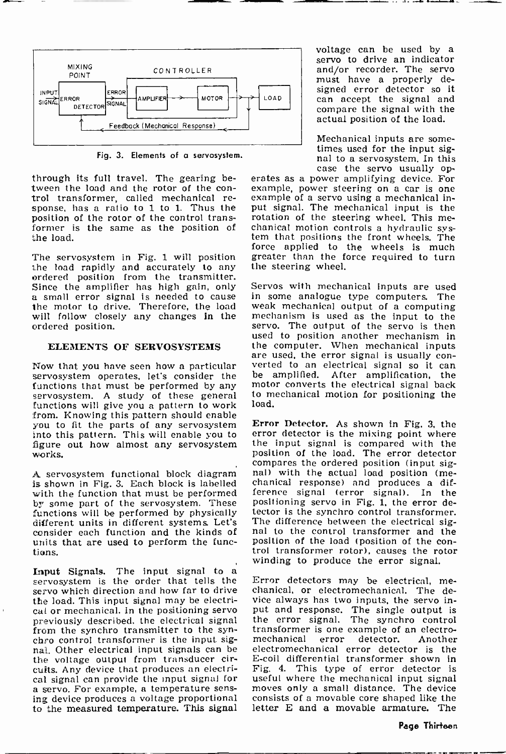

Fig. 3. Elements of a servosystem.

through its full travel. The gearing betrol transformer, called mechanical re-<br>sponse, has a ratio to 1 to 1. Thus the put signal. The mechanical input is the<br>position of the rotor of the control trans-<br>rotation of the steering wheel. This meposition of the rotor of the control transformer is the same as the position of chanical motion controls a hydraulic sys-<br>the load. The tem that positions the front wheels. The the load.

The servosystem in Fig. 1 will position<br>the load rapidly and accurately to any<br>ordered position from the transmitter.<br>Since the amplifter has high gain, only a small error signal is needed to cause in some analogue type computers. The the motor to drive. Therefore, the load weak mechanical output of a computing will follow closely any changes in the mechanism is used as the inp will follow closely any changes in the ordered position.

## ELEMENTS OF SERVOSYSTEMS

Now that you have seen how a particular verted to an electrical signal so it can<br>servosystem operates, let's consider the the amplified. After amplification, the servosystem operates, let's consider the functions that must be performed by any servosystem. A study of these general functions will give you a pattern to work from. Knowing this pattern should enable you to fit the parts of any servosystem into this pattern. This will enable you to figure out how almost any servosystem works.

with the function that must be performed by some part of the servosystem. These functions will be performed by physically dector is the synchro control transformer.<br>different units in different systems. Let's The difference between the electrical sig-<br>consider each function and the kinds of and to the consider each function and the kinds of units that are used to perform the functions.

Input Signals. The input signal to a<br>servosystem is the order that tells the Error detectors may be electrical, me-<br>servo which direction and how far to drive chanical, or electromechanical. The dethe load. This input signal may be electrical or mechanical. In the positioning servo previously described, the electrical signal from the synchro transmitter to the synchro control transformer is the input signal. Other electrical input signals can be the voltage output from transducer circuits. Any device that produces an electrical signal can provide the input signal for useful where the mechanical input signal<br>a servo. For example, a temperature sens- moves only a small distance. The device<br>ing device produces a voltage proportional consists of to the measured temperature. This signal

voltage can be used by a servo to drive an indicator and/or recorder. The servo must have a properly decan accept the signal and compare the signal with the actual position of the load.

Mechanical inputs are some-<br>times used for the input sig-<br>nal to a servosystem. In this<br>case the servo usually op-

erates as a power amplifying device. For example, power steering on a car is one put signal. The mechanical input is the chanical motion controls a hydraulic sysforce applied to the wheels is much greater than the force required to turn the steering wheel.

Servos with mechanical inputs are used in some analogue type computers. The servo. The output of the servo is then used to position another mechanism in the computer. When mechanical inputs<br>are used, the error signal is usually converted to an electrical signal so it can motor converts the electrical signal back to mechanical motion for positioning the load.

A servosystem functional block diagram is nall with the actual load position (me-<br>is shown in Fig. 3. Each block is labelled chanical response) and produces a dif-Error Detector. As shown in Fig. 3, the error detector is the mixing point where the input signal is compared with the position of the load. The error detector compares the ordered position (input sigference signal (error signal). In the positioning servo in Fig. 1, the error detector is the synchro control transformer. The difference between the electrical sigposition of the load (position of the con-<br>trol transformer rotor), causes the rotor winding to produce the error signal.

> chanical, or electromechanical. The device always has two inputs, the servo input and response. The single output is the error signal. The synchro control transformer is one example of an electromechanical electromechanical error detector is the E -coil differential transformer shown in Fig. 4. This type of error detector is useful where the mechanical input signal consists of a movable core shaped like the letter E and a movable armature. The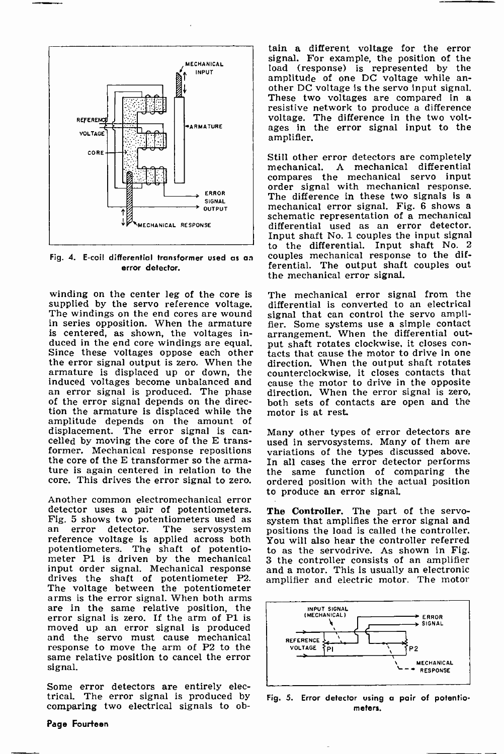

Fig. 4. E -coil differential transformer used as an error detector.

winding on the center leg of the core is<br>supplied by the servo reference voltage. The windings on the end cores are wound. in series opposition. When the armature is centered, as shown, the voltages in-<br>duced in the end core windings are equal. duced in the end core windings are equal. put shaft rotates clockwise, it closes con-<br>Since these voltages oppose each other tacts that cause the motor to drive in one<br>the error signal output is zero. When the direction. W the error signal output is zero. When the direction. When the output shaft rotates armature is displaced up or down, the counterclockwise, it closes contacts that armature is displaced up or down, the induced voltages become unbalanced and an error signal is produced. The phase of the error signal depends on the direction the armature is displaced while the amplitude depends on the amount of displacement. The error signal is cancelled by moving the core of the E trans-<br>former. Mechanical response repositions the core of the E transformer so the armature is again centered in relation to the core. This drives the error signal to zero.

Another common electromechanical error detector uses a pair of potentiometers. **The Controller**. The part of the servo-<br>Fig. 5 shows two potentiometers used as a system that amplifies the error signal and<br>an error detector. The servosystem positions the load is potentiometers. The shaft of potentio-<br>meter P1 is driven by the mechanical 3 the controller consists of an amplifier<br>input order signal. Mechanical response and a motor. This is usually an electronic input order signal. Mechanical response drives the shaft of potentiometer P2. The voltage between the potentiometer arms is the error signal. When both arms are in the same relative position, the error signal is zero. If the arm of P1 is<br>moved up an error signal is produced and the servo must cause mechanical response to move the arm of P2 to the same relative position to cancel the error signal.

Some error detectors are entirely electrical. The error signal is produced by comparing two electrical signals to ob-

tain a different voltage for the error signal. For example, the position of the load (response) is represented by the amplitude of one DC voltage while another DC voltage is the servo input signal.<br>These two voltages are compared in a<br>resistive network to produce a difference voltage. The difference in the two voltages in the error signal input to the amplifier.

Still other error detectors are completely mechanical. A mechanical differential compares the mechanical servo input order signal with mechanical response. The difference in these two signals is a mechanical error signal. Fig. 6 shows a schematic representation of a mechanical differential used as an error detector. Input shaft No. 1 couples the input signal to the differential. Input shaft No. <sup>2</sup> couples mechanical response to the differential. The output shaft couples out the mechanical error signal.

The mechanical error signal from the differential is converted to an electrical signal that can control the servo amplifier. Some systems use a simple contact arrangement. When the differential outtacts that cause the motor to drive in one cause the motor to drive in the opposite direction. When the error signal is zero, both sets of contacts are open and the motor is at rest.

Many other types of error detectors are used in servosystems. Many of them are variations of the types discussed above. the same function of comparing the ordered position with the actual position to produce an error signal.

system that amplifies the error signal and positions the load is called the controller. You will also hear the controller referred to as the servodrive. As shown in Fig. and a motor. This is usually an electronic amplifier and electric motor. The motor



Fig. 5. Error detector using a pair of potentiometers.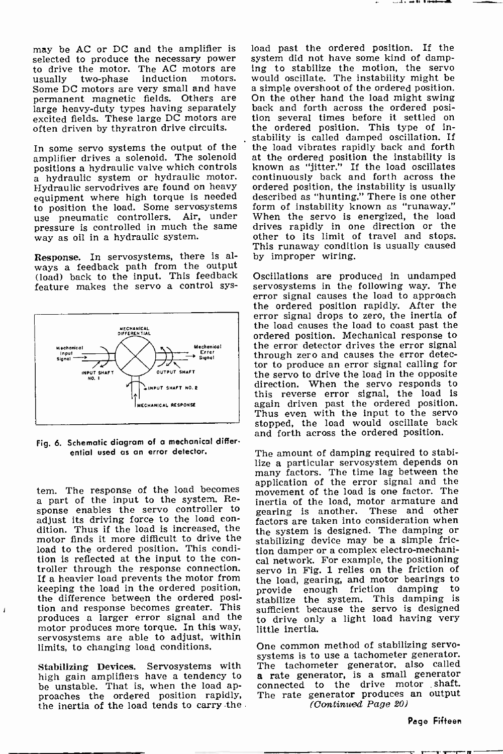may be AC or DC and the amplifier is selected to produce the necessary power system did not have some kind of damptom drive the motor. The AC motors are ing to stabilize the motion, the servo to drive the motor. The AC motors are<br>usually two-phase induction motors. Some DC motors are very small and have permanent magnetic fields. Others are On the other hand the load might swing<br>large heavy-duty types having separately back and forth across the ordered posilarge heavy-duty types having separately back and forth across the ordered posi-<br>excited fields. These large DC motors are tion several times before it settled on excited fields. These large DC motors are often driven by thyratron drive circuits.

In some servo systems the output of the amplifier drives a solenoid. The solenoid positions a hydraulic valve which controls a hydraulic system or hydraulic motor. Hydraulic servodrives are found on heavy equipment where high torque is needed described as "hunting." There is one other<br>to position the load. Some servosystems form of instability known as "runaway." use pneumatic controllers. Air, under pressure is controlled in much the same way as oil in a hydraulic system.

Response. In servosystems, there is always a feedback path from the output (load) back to the input. This feedback feature makes the servo a control sys-



Fig. 6. Schematic diagram of a mechanical differential used us an error detector.

tem. The response of the load becomes a part of the input to the system. Response enables the servo controller to<br>adjust its driving force to the load condition. Thus if the load is increased, the loss increased in the system is designed. The damping or motor finds it more difficult to drive the stabilizing device may be a simple fricmotor finds it more difficult to drive the load to the ordered position. This condition is reflected at the input to the con-<br>troller through the response connection.<br>servo in Fig. 1 relies on the friction of If a heavier load prevents the motor from<br>keeping the load in the ordered position, the difference between the ordered position and response becomes greater. This produces a larger error signal and the motor produces more torque. In this way, servosystems are able to adjust, within<br>limits, to changing load conditions. One common method of stabilizing servolimits, to changing load conditions.

 $\overline{1}$ 

Stabilizing Devices. Servosystems with high gain amplifiers have a tendency to be unstable. That is, when the load approaches the ordered position rapidly, the inertia of the load tends to carry the

induction motors. would oscillate. The instability might be very small and have a simple overshoot of the ordered position. load past the ordered position. If the system did not have some kind of dampwould oscillate. The instability might be On the other hand the load might swing the ordered position. This type of instability is called damped oscillation. If the load vibrates rapidly back and forth at the ordered position the instability is known as "jitter." If the load oscillates continuously back and forth across the ordered position, the instability is usually described as "hunting." There is one other When the servo is energized, the load drives rapidly in one direction or the other to its limit of travel and stops. This runaway condition is usually caused by improper wiring.

> Oscillations are produced in undamped servosystems in the following way. The error signal causes the load to approach the ordered position rapidly. After the error signal drops to zero, the inertia of the load causes the load to coast past the ordered position. Mechanical response to through zero and causes the error detector to produce an error signal calling for the servo to drive the load in the opposite direction. When the servo responds to this reverse error signal, the load is again driven past the ordered position. Thus even with the input to the servo stopped, the load would oscillate back and forth across the ordered position.

The amount of damping required to stabi-<br>lize a particular servosystem depends on lize a particular servosystem depends on many factors. The time lag between the application of the error signal and the movement of the load is one factor. The inertia of the load, motor armature and gearing is another. These and other factors are taken into consideration when the system is designed. The damping or tion damper or a complex electro-mechaniservo in Fig. 1 relies on the friction of the load, gearing, and motor bearings to provide enough friction damping to stabilize the system. This damping is sufficient because the servo is designed to drive only a light load having very little inertia.

systems is to use a tachometer generator. The tachometer generator, also called a rate generator, is a small generator connected to the drive motor shaft. The rate generator produces an output (Continued Page 20)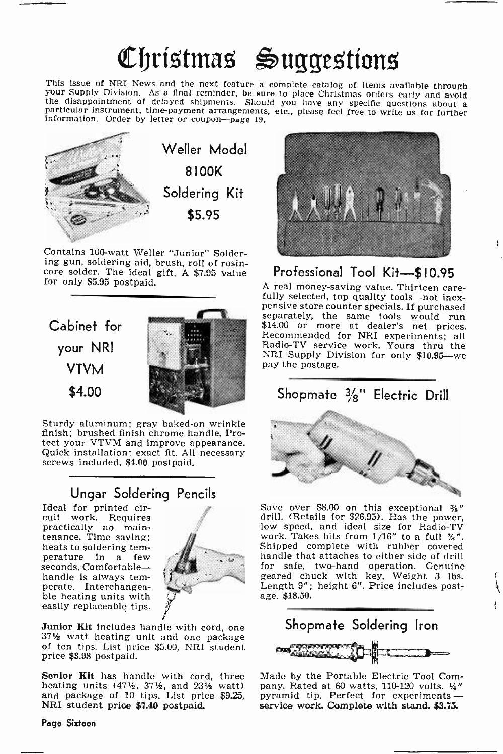# Christmas Suggestions

This issue of NRI News and the next feature a complete catalog of items available through<br>your Supply Division. As a final reminder, be sure to place Christmas orders early and avoid<br>the disappointment of delayed shipments



Contains 100-watt Weller "Junior" Solder-<br>ing gun, soldering aid, brush, roll of rosincore solder. The ideal gift. A \$7.95 value for only \$5.95 postpaid.



Sturdy aluminum; gray baked-on wrinkle finish; brushed finish chrome handle. Protect your VTVM and improve appearance. Quick installation; exact fit. All necessary screws included. \$1.00 postpaid.

## Ungar Soldering Pencils

Ideal for printed circuit work. Requires practically no maintenance. Time saving; heats to soldering temperature in a few seconds. Comfortablehandle Is always temperate. Interchangea- ble heating units with easily replaceable tips.



Junior Kit includes handle with cord, one 371/<sub>2</sub> watt heating unit and one package of ten tips. List price \$5.00, NRI student price \$3.98 postpaid.

heating units  $(47\frac{1}{2}, 37\frac{1}{2})$ , and  $23\frac{1}{2}$  watt) and package of 10 tips. List price \$9.25, NRI student prioe \$7.40 postpaid.



# Professional Tool Kit-\$10.95<br>A real money-saving value. Thirteen care-

fully selected, top quality tools—not inex-<br>pensive store counter specials. If purchased penarately, the same tools would run \$14.00 or more at dealer's net prices. \$14.00 or more at dealer's net prices. Recommended for NRI experiments; all Radio-TV service work. Yours thru the NRI Supply Division for only \$10.95-we pay the postage.

## Shopmate  $\frac{3}{8}$ " Electric Drill



Save over \$8.00 on this exceptional %" drill. (Retails for \$26.95). Has the power, low speed, and ideal size for Radio-TV low speed, and ideal size for Radio-TV<br>work. Takes bits from  $1/16''$  to a full  $\frac{1}{36}''$ . Shipped complete with rubber covered handle that attaches to either side of drill for safe, two -hand operation. Genuine geared chuck with key. Weight 3 lbs. Length 9"; height 6". Price includes postage. \$18.50.



**Senior Kit** has handle with cord, three Made by the Portable Electric Tool Com-<br>heating units  $(47\frac{1}{2}, 37\frac{1}{2}, \text{and } 23\frac{1}{2}, \text{watt})$  pany. Rated at 60 watts, 110-120 volts.  $\frac{1}{4}$ " Made by the Portable Electric Tool Compyramid tip. Perfect for experiments service work. Complete with stand. \$3.75.

## Page Sixteen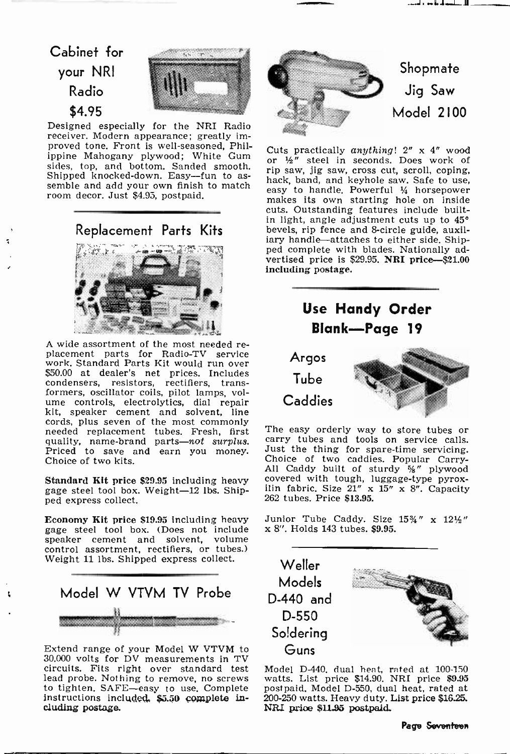## Cabinet for your NRI Radio \$4.95



Designed especially for the NRI Radio receiver. Modern appearance; greatly improved tone. Front is well-seasoned, Philproved tone, Front is well-seasoned, Fill-<br>ippine Mahogany plywood; White Gum or 16" steel in seconds. Does work of sides, top, and bottom. Sanded smooth.<br>Shipped knocked-down. Easy--fun to as-<br>semble and add your own finish to match has<br>room decor. Just \$4.95, postpaid.

Replacement Parts Kits



A wide assortment of the most needed re-<br>placement parts for Radio-TV service<br>work, Standard Parts Kit would run over \$50.00 at dealer's net prices. Includes condensers, resistors, rectifiers, trans-<br>formers, oscillator coils, pilot lamps, volume controls, electrolytics, dial repair<br>kit, speaker cement and solvent, line<br>cords, plus seven of the most commonly cords, plus seven of the most commonly needed replacement tubes. Fresh, first quality, name-brand parts-not surplus. ca<br>Priced to save and earn you money. Ju Choice of two kits.

gage steel tool box. Weight-12 lbs. Ship-<br>ped express collect.

**Economy Kit price \$19.95** including heavy Junior Tube Caddy. Size gage steel tool box. (Does not include  $x 8$ ''. Holds 143 tubes. \$9.95. gage steel tool box. (Does not include speaker cement and solvent, volume control assortment, rectifiers, or tubes.) Weight 11 lbs. Shipped express collect.



Extend range of your Model W VTVM to 30.000 volts for DV measurements in TV circuits. Fits right over standard test to tighten. SAFE-easy to use. Complete instructions included. \$5.50 complete including postage.



or  $\frac{1}{2}$ " steel in seconds. Does work of rip saw, jig saw, cross cut, scroll, coping, hack, band, and keyhole saw. Safe to use, easy to handle. Powerful  $\frac{1}{4}$  horsepower makes its own starting hole on inside cuts. Outstanding features include builtin light, angle adjustment cuts up to 45° bevels, rip fence and 8-circle guide, auxiliary handle-attaches to either side. Ship- ped complete with blades. Nationally advertised price is \$29.95. NRI price-\$21.00 including postage.



Shoree of two mesh and the caddy built of sturdy  $\frac{5}{8}$ " plywood Standard Kit price \$29.95 including heavy covered with tough, luggage-type pyrox-The easy orderly way to store tubes or carry tubes and tools on service calls.<br>Just the thing for spare-time servicing. Choice of two caddies. Popular Carry-<br>All Caddy built of sturdy %" plywood covered with tough, luggage-type pyrox-<br>ilin fabric. Size  $21'' \times 15'' \times 8''$ . Capacity 262 tubes. Price \$13.95.

Junior Tube Caddy. Size  $15\frac{3}{4}$ " x  $12\frac{1}{2}$ "



Model D-440, dual heat, rated at 100-130 watts. List price \$14.90. NRI price \$9.95 postpaid. Model D-550, dual heat, rated at 200-250 watts. Heavy duty. List price \$16.25. NRI price \$11.95 postpaid.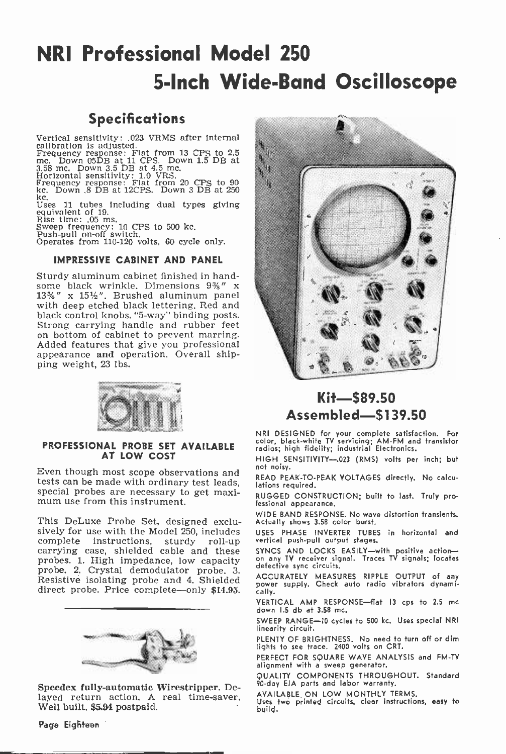## NRI Professional Model 250 <sup>5</sup>-Inch Wide -Band Oscilloscope

## **Specifications**

Vertical sensitivity: .023 VRMS after internal

calibration is adjusted.<br>Frequency response: Flat from 13 CPS to 2.5 mc. Down 05DB at 11 CPS. Down 1.5 DB at 3.58 mc. Down 3.5 DB at 4.5 mc. Horizontal sensitivity: 1.0 VRS.

Frequency response: Flat from 20 CPS to 90 Ice. Down .8 DB at 12CPS. Down 3 DB at <sup>250</sup>

kc. Uses 11 tubes including dual types giving equivalent of 19.

Rise time: .05 ms.<br>Sweep frequency: 10 CPS to 500 kc.<br>Push-pull on-off switch.

Operates from 110-120 volts, 60 cycle only.

## IMPRESSIVE CABINET AND PANEL

Sturdy aluminum cabinet finished in hand-<br>some black wrinkle. Dimensions  $9\frac{2}{3}$ " x  $13\frac{3}{4}$ " x  $15\frac{1}{2}$ ". Brushed aluminum panel with deep etched black lettering. Red and black control knobs. "5-way" binding posts. Strong carrying handle and rubber feet<br>on bottom of cabinet to prevent marring. Added features that give you professional appearance and operation. Overall shipping weight, 23 lbs.



## PROFESSIONAL PROBE SET AVAILABLE AT LOW COST

Even though most scope observations and not noisy.<br>tests can be made with ordinary test leads, lations re special probes are necessary to get maxi- mum use from this instrument.

This DeLuxe Probe Set, designed exclusively for use with the Model 250, includes complete instructions, sturdy roll-up carrying case, shielded cable and these probes. 1. High impedance, low capacity probe. 2. Crystal demodulator probe. 3. Resistive isolating probe and 4. Shielded direct probe. Price complete-only \$14.95.



Speeder fully -automatic Wirestripper. Delayed return action. A real time-saver, Well built. \$5.94 postpaid.



## Kit-\$89.50 Assembled-\$139.50

NRI DESIGNED for your complete satisfaction. For<br>color, black-white TV servicing; AM-FM and transistor<br>radios; high fidelity; industrial Electronics.

HIGH SENSITIVITY-023 (RMS) volts per inch; but

READ PEAK -TO -PEAK VOLTAGES directly. No calculations required.

RUGGED CONSTRUCTION; built to last. Truly professional appearance.

WIDE BAND RESPONSE. No wave distortion transients. Actually shows 3.58 color burst.

USES PHASE INVERTER TUBES in horizontal and vertical push-pull output stages.

SYNCS AND LOCKS EASILY—with positive action—<br>on any TV receiver signal. Traces TV signals; locates defective sync circuits.

ACCURATELY MEASURES RIPPLE OUTPUT of any power supply. Check auto radio vibrators dynami-.<br>callv.

VERTICAL AMP RESPONSE-flat 13 cps to 2.5 mc down 1.5 db at 3.58 mc.

SWEEP RANGE-10 cycles to 500 kc. Uses special NRI linearity circuit.

PLENTY OF BRIGHTNESS. No need to turn off or dim<br>lights to see trace. 2400 volts on CRT.

PERFECT FOR SQUARE WAVE ANALYSIS and FM-TV alignment with a sweep generator.

QUALITY COMPONENTS THROUGHOUT. Standard <sup>90</sup>-day EIA parts and labor warranty.

AVAILABLE. ON LOW MONTHLY TERMS.

Uses two printed circuits, clear instructions, easy to build.

Page Eigñteen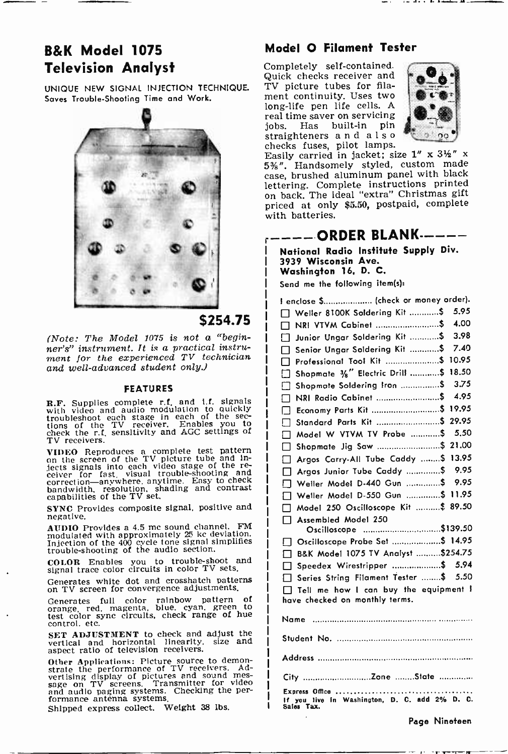## B&K Model 1075 Television Analyst

UNIQUE NEW SIGNAL INJECTION TECHNIQUE. Saves Trouble -Shooting Time and Work.



## \$254.75

(Note: The Model 1075 is not a "begin $ner's'$  instrument. It is a practical instrument for the experienced TV technician and well-advanced student only.)

#### FEATURES

R.F. Supplies complete r.f. and 1.f. signals with video and audio modulation to quickly troubleshoot each stage in each of the sections of the TV receiver. Enables you to check the r.f. sensitivity and AGC settings of TV receivers.

VIDEO Reproduces a complete test pattern on the screen of the TV picture tube and Inon the street of the re-<br>digets signals into each video stage of the re-<br>ceiver for fast, visual trouble-shooting and<br>bandwidth, resolution, shading and contrast<br>capabilities of the TV set.

SYNC Provides composite signal, positive and negative.

AUDIO Provides a 4.5 mc sound channel. FM |<br>modulated with approximately 25 kc deviation. |<br>Injection of the 400 cycle tone signal simplifies |<br>trouble-shooting of the audio section.

COLOR Enables you to trouble -shoot and signal trace color circuits in color TV sets.

Generates white dot and crosshatch patterns on TV screen for convergence adjustments.

Generates full color rainbow pattern of orange, red, magenta, blue, cyan, green to test color sync circuits, check range of hue control. etc.

SET ADJUSTMENT to check and adjust the vertical and horizontal linearity, size and aspect ratio of television receivers.

Other Applications: Picture source to demon-<br>strate the performance of TV receivers. Ad-<br>vertising display of pictures and sound mes-<br>sage on TV screens. Transmitter for video and audio paging systems. Checking the per- formance antenna systems.

Shipped express collect. Weight 38 lbs.

## Model O Filament Tester

Completely self-contained. Quick checks receiver and TV picture tubes for filament continuity. Uses two long -life pen life cells. A real time saver on servicing<br>jobs. Has built-in pin built-in pin straighteners and also



checks fuses, pilot lamps.<br>Easily carried in jacket; size 1" x 3½" x<br>5%". Handsomely styled, custom made 5%". Handsomely styled, custom made<br>case, brushed aluminum panel with black lettering. Complete instructions printed on back. The ideal "extra" Christmas gift priced at only \$5.50, postpaid, complete with batteries.

## ----ORDER BLANK -----

National Radio Institute Supply Div. 3939 Wisconsin Ave. Washington 16. D. C.

Send me the following item(s):

| I enclose \$ (check or money order).                                    |  |  |
|-------------------------------------------------------------------------|--|--|
| 5.95<br>Weller 8100K Soldering Kit \$                                   |  |  |
| 4.00<br>NRI VTVM Cabinet \$                                             |  |  |
| 3.98<br>Junior Ungar Soldering Kit \$                                   |  |  |
| 7.40<br>Senior Ungar Soldering Kit \$                                   |  |  |
| Professional Tool Kit  \$ 10.95                                         |  |  |
| Shopmate 1/8" Electric Drill \$ 18.50                                   |  |  |
| 3.75<br>Shopmate Soldering Iron  \$<br>Гι                               |  |  |
| 4.95<br>NRI Radio Cabinet \$                                            |  |  |
| Economy Parts Kit  \$ 19.95                                             |  |  |
| Standard Parts Kit  \$ 29.95                                            |  |  |
| Model W VTVM TV Probe \$<br>5.50<br>-1                                  |  |  |
| Shopmate Jig Saw  \$ 21.00                                              |  |  |
| Argos Carry-All Tube Caddy  \$ 13.95                                    |  |  |
| Argos Junior Tube Caddy \$ 9.95<br>Γı                                   |  |  |
| 9.95<br>Weller Model D-440 Gun \$<br>! I                                |  |  |
| Weller Model D-550 Gun  \$ 11.95                                        |  |  |
| Model 250 Oscilloscope Kit  \$ 89.50<br>⊓                               |  |  |
| Assembled Model 250<br>п                                                |  |  |
| Oscilloscope \$139.50                                                   |  |  |
| Oscilloscope Probe Set \$ 14.95<br>ך ו                                  |  |  |
| B&K Model 1075 TV Analyst \$254.75<br>П.                                |  |  |
| Speedex Wirestripper \$ 5.94                                            |  |  |
| Series String Filament Tester \$ 5.50                                   |  |  |
| Tell me how I can buy the equipment !<br>have checked on monthly terms. |  |  |
| Name                                                                    |  |  |
|                                                                         |  |  |
|                                                                         |  |  |
|                                                                         |  |  |
|                                                                         |  |  |
| Express Office<br>In Washington, D. C. add 2% D. C.                     |  |  |

Sales Tax.

ł

Page Nineteen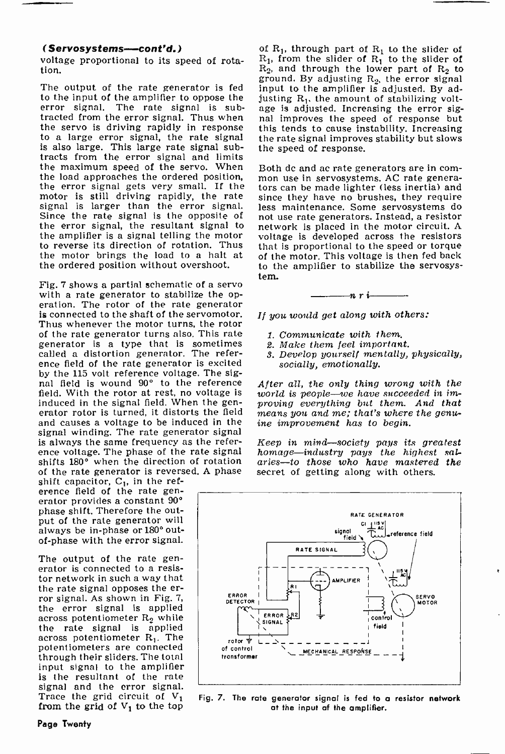### (Servosystems--cont'd.)

voltage proportional to its speed of rotation.

The output of the rate generator is fed input to the amplifier is adjusted. By adto the input of the amplifier to oppose the error signal. The rate signal is subtracted from the error signal. Thus when nal improves the speed of response but the servo is driving rapidly in response this tends to cause instability. Increasing to a large error signal, the rate signal the rate signal improves stability but slows is also large. This large rate signal subtracts from the error signal and limits<br>the maximum speed of the servo. When Both dc and ac rate generators are in comthe maximum speed of the servo. When<br>the load approaches the ordered position. the load approaches the ordered position, mon use in servosystems. AC rate genera-<br>the error signal gets very small. If the tors can be made lighter (less inertia) and motor is still driving rapidly, the rate signal is larger than the error signal. Since the rate signal is the opposite of Since the rate signal is the opposite of<br>the error signal, the resultant signal to the amplifier is a signal telling the motor to reverse its direction of rotation. Thus the motor brings the load to a halt at the ordered position without overshoot.

Fig. 7 shows a partial schematic of a servo with a rate generator to stabilize the operation. The rotor of the rate generator is connected to the shaft of the servomotor. Thus whenever the motor turns, the rotor of the rate generator turns also. This rate generator is a type that is sometimes called a distortion generator. The refer- ence field of the rate generator is excited by the 115 volt reference voltage. The signal field is wound 90° to the reference field. With the rotor at rest, no voltage is induced in the signal field. When the generator rotor is turned, it distorts the field  $\overline{m}$  means you and me; that's where the genu-<br>and causes a voltage to be induced in the  $\overline{m}$  improvement has to begin. and causes a voltage to be induced in the signal winding. The rate generator signal<br>is always the same frequency as the reference voltage. The phase of the rate signal homage—industry pays the highest salshifts 180° when the direction of rotation of the rate generator is reversed. A phase

shift capacitor,  $C_1$ , in the reference field of the rate generator provides a constant 90° phase shift. Therefore the output of the rate generator will always be in-phase or 180° out-<br>of-phase with the error signal.

The output of the rate generator is connected to a resistor network in such a way that the rate signal opposes the er-<br>ror signal. As shown in Fig. 7, the error signal is applied<br>across potentiometer  $R_2$  while<br>the rate signal is applied across potentiometer  $R_1$ . The potentiometers are connected through their sliders. The total input signal to the amplifier is the resultant of the rate<br>signal and the error signal. Trace the grid circuit of  $V_1$ from the grid of  $V_1$  to the top

of  $R_1$ , through part of  $R_1$  to the slider of  $R_1$ , from the slider of  $R_1$  to the slider of  $R_2$ , and through the lower part of  $R_2$  to ground. By adjusting  $R_2$ , the error signal justing  $R_1$ , the amount of stabilizing voltage is adjusted. Increasing the error sigthis tends to cause instability. Increasing the speed of response.

tors can be made lighter (less inertia) and since they have no brushes, they require less maintenance. Some servosystems do not use rate generators. Instead, a resistor network is placed in the motor circuit. A voltage is developed across the resistors that is proportional to the speed or torque of the motor. This voltage is then fed back to the amplifier to stabilize the servosys-<br>tem.<br> $\overline{n r}$  i

If you would get along with others:

- 1. Communicate with them.
- 2. Make them feel important.
- 3. Develop yourself mentally, physically, socially, emotionally.

After all, the only thing wrong with the world is people-we have succeeded in improving everything but them. And that

 $Keep \textit{ in } mind--society \textit{ pays its greatest}$ aries-to those who have mastered the secret of getting along with others.



Fig. 7. The rate generator signal is fed to a resistor network at the input of the amplifier.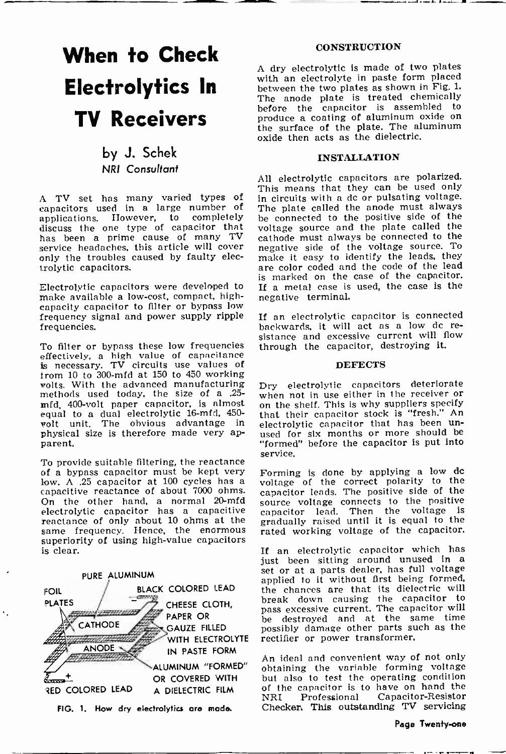# When to Check

by J. Schek NRI Consultant

A TV set has many varied types of capacitors used in a large number of applications. However, to completely discuss the one type of capacitor that has been a prime cause of many TV<br>service headaches, this article will cover only the troubles caused by faulty electrolytic capacitors.

Electrolytic capacitors were developed to make available a low-cost, compact, high-<br>capacity capacitor to filter or bypass low frequency signal and power supply ripple if an electrolytic capacitor is connected<br>frequencies. frequencies.

To filter or bypass these low frequencies effectively, a high value of capacitance is necessary. TV circuits use values of from 10 to 300-mfd at 150 to 450 working methods used today, the size of a .25- when not in use either in the receiver or mfd, 400-volt paper capacitor, is almost on the shelf. This is why suppliers specify mfd, 400 -volt paper capacitor, is almost equal to a dual electrolytic 16-mfd, 450-<br>wolt unit. The obvious advantage in electrolytic capacitor that has been unphysical size is therefore made very apparent.

To provide suitable filtering, the reactance of a bypass capacitor must be kept very low. A .25 capacitor at 100 cycles has a voltage of the correct polarity to the capacitive reactance of about 7000 ohms. capacitor leads. The positive side of the On the other hand, a normal 20-mfd source voltage connects On the other hand, a normal 20-mfd electrolytic capacitor has a capacitive reactance of only about 10 ohms at the same frequency. Hence, the enormous superiority of using high -value capacitors is clear.



#### **CONSTRUCTION**

**Electrolytics In** with an electrolyte in paste form placed<br>between the two plates as shown in Fig. 1. TV Receivers produce a coating of aluminum oxide on <sup>A</sup>dry electrolytic is made of two plates with an electrolyte in paste form placed The anode plate is treated chemically before the capacitor is assembled to the surface of the plate. The aluminum oxide then acts as the dielectric.

## INSTALLATION

All electrolytic capacitors are polarized. This means that they can be used only in circuits with a dc or pulsating voltage. The plate called the anode must always be connected to the positive side of the voltage source and the plate called the cathode must always be connected to the negative side of the voltage source. To make it easy to identify the leads, they are color coded and the code of the lead is marked on the case of the capacitor. If a metal case is used, the case is the negative terminal.

If an electrolytic capacitor is connected sistance and excessive current will flow through the capacitor, destroying it.

#### DEFECTS

Dry electrolytic capacitors deteriorate when not in use either in the receiver or that their capacitor stock is "fresh." An used for six months or more should be "formed" before the capacitor is put into service.

Forming is done by applying a low do voltage of the correct polarity to the capacitor leads. The positive side of the source voltage connects to the positive capacitor lead. Then the voltage is gradually raised until it is equal to the rated working voltage of the capacitor.

If an electrolytic capacitor which has<br>just been sitting around unused in a set or at a parts dealer, has full voltage applied to it without first being formed, the chances are that its dielectric will break down causing the capacitor to pass excessive current. The capacitor will be destroyed and at the same time possibly damage other parts such as the rectifier or power transformer.

An ideal and convenient way of not only obtaining the variable forming voltage but also to test the operating condition of the capacitor is to have on hand the<br>NRI Professional Capacitor-Resistor Capacitor-Resistor Checker. This outstanding TV servicing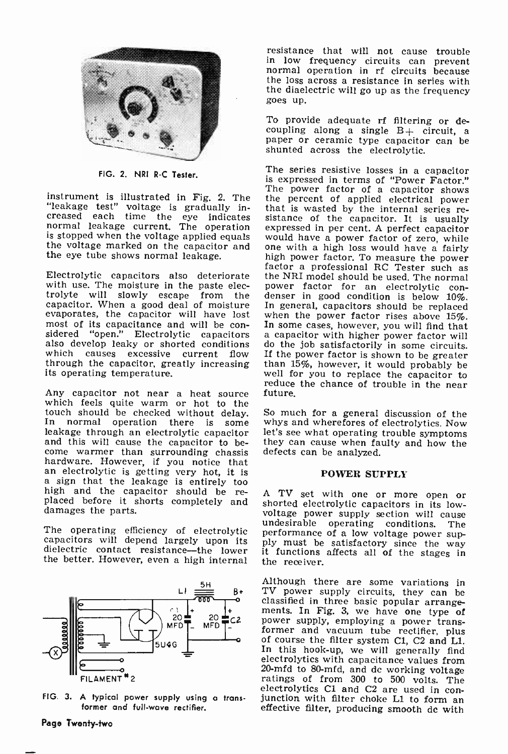

FIG. 2. NRI R-C Tester.

instrument is illustrated in Fig. 2. The the percent of applied electrical power<br>"leakage test" voltage is gradually in-<br>that is wasted by the internal series re-"leakage test" voltage is gradually in-creased each time the eye indicates normal leakage current. The operation exp the eye tube shows normal leakage.

with use. The moisture in the paste electrolyte will slowly escape from the capacitor. When a good deal of moisture In general, capacitors should be replaced evaporates, the capacitor will have lost when the power factor rises above  $15\%$ . evaporates, the capacitor will have lost when the power factor rises above 15%.<br>most of its capacitance and will be con- In some cases, however, you will find that sidered "open." Electrolytic capacitors a capacitor with higher power factor will also develop leaky or shorted conditions do the job satisfactorily in some circuits.<br>which causes excessive current flow If the power factor which causes excessive current flow If<br>through the capacitor, greatly increasing th<br>its operating temperature.

Any capacitor not near a heat source future.<br>which feels quite warm or hot to the<br>touch should be checked without delay. So much for a general discussion of the In normal operation there is some whys and wherefores of electrolytics. Now leakage through an electrolytic capacitor let's see what operating trouble symptoms and this will cause the capacitor to be- they can cause when f hardware. However, if you notice that an electrolytic is getting very hot, it is a sign that the leakage is entirely too high and the capacitor should be re- A TV set with one or more open or placed before it shorts completely and shorted electrolytic capacitors in its lowdamages the parts.

dielectric contact resistance-the lower the better. However, even a high internal



FIG 3. A typical power supply using a transformer and full-wave rectifier.

resistance that will not cause trouble normal operation in rf circuits because the loss across a resistance in series with the diaelectric will go up as the frequency goes up.

To provide adequate rf filtering or de-<br>coupling along a single  $B<sub>+</sub>$  circuit, a<br>paper or ceramic type capacitor can be shunted across the electrolytic.

normal leakage current. The operation expressed in per cent. A perfect capacitor is stopped when the voltage applied equals would have a power factor of zero, while the voltage marked on the capacitor and one with a high l factor a professional RC Tester such as<br>Electrolytic capacitors also deteriorate the NRI model should be used. The normal The series resistive losses in a capacitor is expressed in terms of "Power Factor." The power factor of a capacitor shows sistance of the capacitor. It is usually<br>expressed in per cent. A perfect capacitor<br>would have a power factor of zero, while<br>one with a high loss would have a fairly power factor for an electrolytic con-<br>denser in good condition is below 10%. In general, capacitors should be replaced a capacitor with higher power factor will than 15%, however, it would probably be well for you to replace the capacitor to reduce the chance of trouble in the near future.

> whys and wherefores of electrolytics. Now let's see what operating trouble symptoms defects can be analyzed.

## POWER SUPPLY

The operating efficiency of electrolytic undesirable operating conditions. The capacitors will depend largely upon its ply must be satisfactory since the way dielectric contact resistance—the lower it functions affects all voltage power supply section will cause<br>undesirable operating conditions. The the receiver.

> Although there are some variations in TV power supply circuits, they can be classified in three basic popular arrangements. In Fig. 3, we have one type of power supply, employing a power transformer and vacuum tube rectifier, plus of course the filter system Cl, C2 and L1. In this hook-up, we will generally find electrolytics with capacitance values from<br>20-mfd to 80-mfd, and dc working voltage ratings of from 300 to 500 volts. The electrolytics C1 and C2 are used in con-<br>junction with filter choke L1 to form an effective filter, producing smooth dc with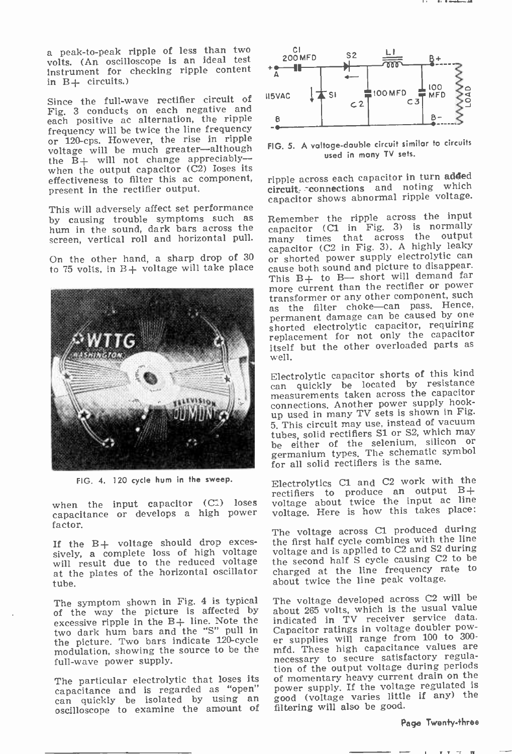<sup>a</sup>peak -to -peak ripple of less than two volts. (An oscilloscope is an ideal test Instrument for checking ripple content in B+ circuits.)

Since the full-wave rectifier circuit of Fig. 3 conducts on each negative and<br>cosh positive as alternation the ripple each positive ac alternation, the ripple<br>frequency will be twice the line frequency or 120-cps. However, the rise in ripple voltage will be much greater-although the  $\bar{B}$  + will not change appreciably-when the output capacitor (C2) Ioses its effectiveness to filter this ac component, present in the rectifier output.

This will adversely affect set performance<br>by causing trouble symptoms such as hum in the sound, dark bars across the screen, vertical roll and horizontal pull.



FIG. 4. 120 cycle hum in the sweep.

when the input capacitor (C1) loses capacitance or develops a high power factor.

If the B+ voltage should drop exces- sively, a complete loss of high voltage will result due to the reduced voltage the at the plates of the horizontal oscillator cha tube.

The symptom shown in Fig. 4 is typical of the way the picture is affected by excessive ripple in the  $B+$  line. Note the two dark hum bars and the "S" pull in the picture. Two bars indicate 120-cycle er supplies will range from 100 to 300-<br>modulation, showing the source to be the mfd. These high capacitance values are modulation, showing the source to be the full-wave power supply.

The particular electrolytic that loses its capacitance and is regarded as "open" can quickly be isolated by using an oscilloscope to examine the amount of



FIG. 5. A voltage -double circuit similar to circuits used in many TV sets.

ripple across each capacitor in turn added circuit- connections and noting which capacitor shows abnormal ripple voltage.

On the other hand, a sharp drop of 30  $\sigma$  shorted power supply electrolytic can to 75 volts, in B+ voltage will take place cause both sound and picture to disappear. to 75 volts, in  $B+$  voltage will take place cause both sound and picture to disappear.<br>This  $B+$  to  $B-$  short will demand far Remember the ripple across the input capacitor (C1 in Fig. 3) is normally many times that across the output capacitor (C2 in Fig. 3). A highly leaky or shorted power supply electrolytic can cause both sound and picture to disappear. more current than the rectifier or power<br>transformer or any other component, such as the filter choke-can pass. Hence,<br>permanent damage can be caused by one shorted electrolytic capacitor, requiring replacement for not only the capacitor itself but the other overloaded parts as well.

> Electrolytic capacitor shorts of this kind can quickly be located by resistance measurements taken across the capacitor connections. Another power supply hookup used in many TV sets is shown in Fig. 5. This circuit may use, instead of vacuum tubes, solid rectifiers S1 or S2, which may be either of the selenium, silicon or germanium types. The schematic symbol for all solid rectifiers is the same.

> Electrolytics Cl and C2 work with the rectifiers to produce an output B+ voltage about twice the input ac line voltage. Here is how this takes place:

> The voltage across C1 produced during the first half cycle combines with the line voltage and is applied to C2 and S2 during the second half S cycle causing C2 to be charged at the line frequency rate to about twice the line peak voltage.

> The voltage developed across C2 will be about 265 volts, which is the usual value indicated in TV receiver service data. Capacitor ratings in voltage doubler power supplies will range from 100 to 300 necessary to secure satisfactory regulation of the output voltage during periods of momentary heavy current drain on the power supply. If the voltage regulated is good (voltage varies little if any) the filtering will also be good.

#### Page Twenty-three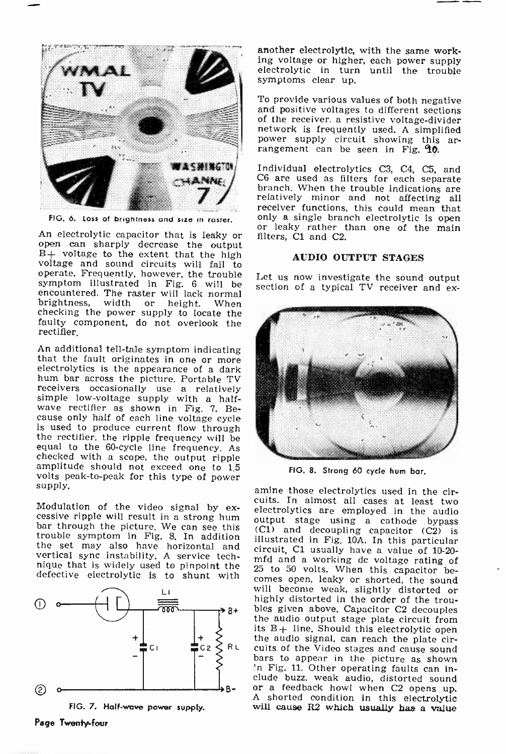

FIG. 6. Loss of brightness and size in roster.

An electrolytic capacitor that is leaky or open can sharply decrease the output  $B+$  voltage to the extent that the high voltage and sound circuits will fail to operate. Frequently, however, the trouble Let us now investigate the sound output symptom illustrated in Fig. 6 will be encountered. The raster will lack normal<br>brightness, width or height. When brightness, width or checking the power supply to locate the faulty component, do not overlook the rectifier.

An additional tell-tale symptom indicating<br>that the fault originates in one or more<br>electrolytics is the appearance of a dark hum bar across the picture. Portable TV<br>receivers occasionally use a relatively simple low-voltage supply with a half-<br>wave rectifier as shown in Fig. 7. Be-<br>cause only half of each line voltage cycle<br>is used to produce current flow through<br>the rectifier, the ripple frequency will be equal to the 60-cycle line frequency. As checked with a scope, the output ripple amplitude should not exceed one to 1.5 volts peak-to-peak for this type of power supply.

bar through the picture. We can see this  $(C1)$  and decoupling capacitor  $(C2)$  is trouble symptom in Fig. 8. In addition illustrated in Fig. 104. In this particular the set may also have horizontal and circuit, C1 usually have a value of 10-20vertical sync instability. A service tech-<br>mfd and a working dc voltage rating of<br>determining the synchronic the 25 to 50 volts. When this capacitor be-<br>determined and a working of the service of the service of the service defective electrolytic is to shunt with



FIG. 7. Half-wave power supply.

another electrolytic, with the same work-<br>ing voltage or higher, each power supply electrolytic in turn until the trouble symptoms clear up.

To provide various values of both negative and positive voltages to different sections of the receiver. a resistive voltage-divider network is frequently used. A simplified power supply circuit showing this ar-<br>rangement can be seen in Fig. **10**.

Individual electrolytics C3, C4, C5, and C6 are used as filters for each separate branch. When the trouble indications are relatively minor and not affecting all receiver functions, this could mean that<br>only a single branch electrolytic is open or leaky rather than one of the main filters, Cl and C2.

## AUDIO OUTPUT STAGES

section of a typical TV receiver and ex-



FIG. 8. Strong 60 cycle hum bar.

Modulation of the video signal by ex-<br>cessive ripple will result in a strong hum<br>bar through the picture. We can see this  $(C1)$  and decounting cancilor  $(C2)$  is amine those electrolytics used in the circuits. In almost all cases at least two electrolytics are employed in the audio illustrated in Fig. 10A. In this particular mfd and a working do voltage rating of comes open, leaky or shorted, the sound<br>will become weak, slightly distorted or highly distorted in the order of the troubles given above. Capacitor C2 decouples<br>the audio output stage plate circuit from<br>its B+ line. Should this electrolytic open the audio signal, can reach the plate circuits of the Video stages and cause sound bars to appear in the picture as shown `n Fig. 11. Other operating faults can Inor a feedback howl when C2 opens up.<br>A shorted condition in this electrolytic will cause R2 which usually has a value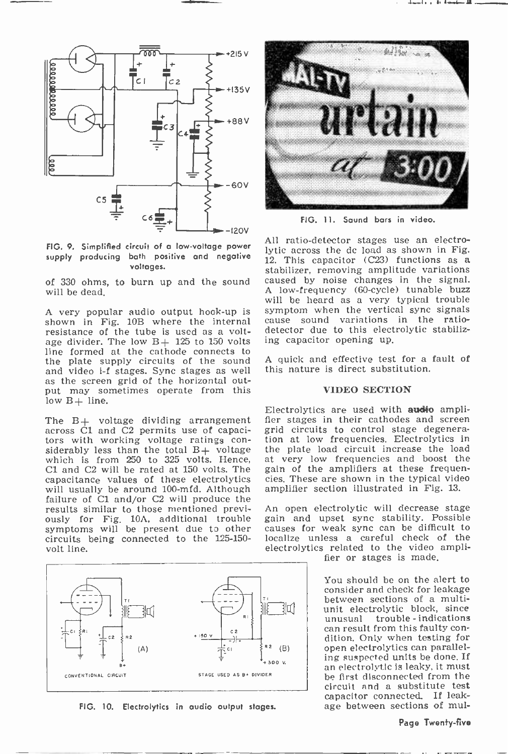

FIG. 9. Simplified circuit of a low -voltage power supply producing both positive and negative  $\frac{1}{12}$ . This capacitor (C23) functions as a voltages.

of 330 ohms, to burn up and the sound will be dead.

A very popular audio output hook-up is shown in Fig. 10B where the internal cau resistance of the tube is used as a voltage divider. The low  $B+ 125$  to 150 volts line formed at the cathode connects to the plate supply circuits of the sound and video i-f stages. Sync stages as well<br>as the screen grid of the horizontal output may sometimes operate from this low  $B+$  line.

The B+ voltage dividing arrangement across Cl and C2 permits use of capacitors with working voltage ratings con-<br>siderably less than the total B+ voltage which is from 250 to 325 volts. Hence, Cl and C2 will be rated at 150 volts. The capacitance values of these electrolytics will usually be around 100-mfd. Although failure of C1 and/or C2 will produce the<br>results similar to those mentioned previ- An open electrolytic will decrease stage results similar to those mentioned previously for Fig. 10A, additional trouble symptoms will be present due to other circuits being connected to the 125-150-<br>volt line.



FIG. 10. Electrolytics in audio output stages.



FIG. 11. Sound bars in video.

All ratio -detector stages use an electrolytic across the dc load as shown in Fig. stabilizer, removing amplitude variations caused by noise changes in the signal. A low-frequency (60-cycle) tunable buzz will be heard as a very typical trouble symptom when the vertical sync signals<br>cause sound variations in the ratiodetector due to this electrolytic stabilizing capacitor opening up.

A quick and effective test for a fault of this nature is direct substitution.

### VIDEO SECTION

Electrolytics are used with audio amplifier stages in their cathodes and screen grid circuits to control stage degeneration at low frequencies. Electrolytics in the plate load circuit increase the load at very low frequencies and boost the gain of the amplifiers at these frequencies. These are shown in the typical video amplifier section illustrated in Fig. 13.

gain and upset sync stability. Possible causes for weak sync can be difficult to localize unless a careful check of the electrolytics related to the video ampli-

fier or stages is made.

You should be on the alert to<br>consider and check for leakage between sections of a multiunit electrolytic block, since<br>unusual trouble-indications can result from this faulty con-<br>dition. Only when testing for open electrolytics can paralleling suspected units be done. If an electrolytic is leaky, it must be first disconnected from the circuit and a substitute test capacitor connected. If leakage between sections of mul-

#### Page Twenty-five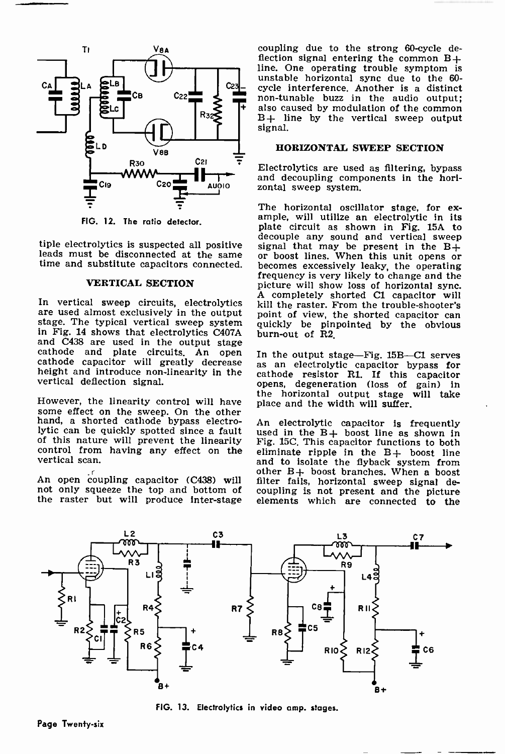

FIG. 12. The ratio detector.

#### VERTICAL SECTION

In vertical sweep circuits, electrolytics are used almost exclusively in the output state. From the trouble-shooter's<br>are used almost exclusively in the output stage. The typical vertical sweep system quickly be pinpointed and C438 are used in the output stage<br>cathode and plate circuits. An open In the output stage—Fig. 15B—C1 serves<br>cathode capacitor will greatly decrease as an electrolytic capacitor bypass for height and introduce non-linearity in the vertical deflection signal.

However, the linearity control will have place and the width will suffer.<br>some effect on the sweep. On the other<br>hand, a shorted cathode bypass electro- An electrolytic capacitor is frequently hand, a shorted cathode bypass electrolytic can be quickly spotted since a fault control from having any effect on the vertical scan.

not only squeeze the top and bottom of

coupling due to the strong 60-cycle deflection signal entering the common  $B+$ line. One operating trouble symptom is cycle interference, Another is a distinct<br>non-tunable buzz in the audio output;<br>also caused by modulation of the common<br> $B+$  line by the vertical sweep output<br>signal.

## HORIZONTAL SWEEP SECTION

Electrolytics are used as filtering, bypass and decoupling components in the horizontal sweep system.

tiple electrolytics is suspected all positive decouple any sound and vertical sweep<br>leads must be disconnected at the same or boost lines. When this unit opens or<br>time and substitute capacitors connected. becomes excessive The horizontal oscillator stage, for ex- ample, will utilize an electrolytic in its plate circuit as shown in Fig. 15A to signal that may be present in the B+ or boost lines. When this unit opens or picture will show loss of horizontal sync. A completely shorted Cl capacitor will kill the raster. From the trouble-shooter's point of view, the shorted capacitor can burn-out of R2.

> In the output stage-Fig.  $15B-C1$  serves cathode resistor Rl. If this capacitor opens, degeneration (loss of gain) in the horizontal output stage will take place and the width will suffer.

An open coupling capacitor (C438) will filter fails, horizontal sweep signal denot only squeeze the top and bottom of coupling is not present and the picture the raster but will produce inter-stage elements which are connected to the An electrolytic capacitor is frequently used in the B+ boost line as shown in Fig. 15C. This capacitor functions to both eliminate ripple in the  $B+$  boost line and to isolate the flyback system from other B+ boost branches. When a boost filter fails, horizontal sweep signal de-



FIG. 13. Electrolytics in video amp. stages.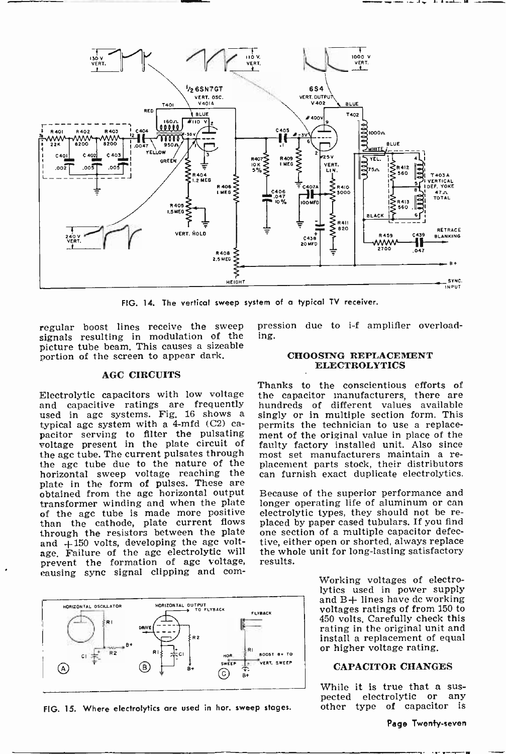

FIG. 14. The vertical sweep system of a typical TV receiver.

regular boost lines receive the sweep signals resulting in modulation of the picture tube beam. This causes a sizeable portion of the screen to appear dark.

#### AGC CIRCUITS

Electrolytic capacitors with low voltage and capacitive ratings are frequently<br>used in agc systems. Fig. 16 shows a typical age system with a  $4\text{-}$ mfd (C2) ca-<br>pacitor serving to filter the pulsating voltage present in the plate circuit of faulty factory installed unit. Also since the age tube. The current pulsates through most set manufacturers maintain a rethe agc tube. The current pulsates through the agc tube due to the nature of the placement parts stock, their distributors horizontal sweep voltage reaching the can furnish exact duplicate electrolytics. horizontal sweep voltage reaching the plate in the form of pulses. These are obtained from the age horizontal output Because of the superior performance and transformer winding and when the plate longer operating life of aluminum or can transformer winding and when the plate longer operating life of aluminum or can<br>of the age tube is made more positive electrolytic types, they should not be reof the age tube is made more positive electrolytic types, they should not be re-<br>than the cathode, plate current flows placed by paper cased tubulars. If you find than the cathode, plate current flows through the resistors between the plate and +150 volts, developing the age volt-age. Failure of the agc electrolytic will prevent the formation of age voltage, results. causing sync signal clipping and com-



FIG. 15. Where electrolytics are used in hor. sweep stages.

pression due to i-f amplifier overloading.

#### CHOOSING REPLACEMENT ELECTROLYTICS

Thanks to the conscientious efforts of the capacitor manufacturers, there are hundreds of different values available singly or in multiple section form. This permits the technician to use a replacement of the original value in place of the faulty factory installed unit. Also since placement parts stock, their distributors

Because of the superior performance and one section of a multiple capacitor defective, either open or shorted, always replace<br>the whole unit for long-lasting satisfactory

> Working voltages of electrolytics used in power supply and B+ lines have dc working voltages ratings of from 150 to 450 volts. Carefully check this rating in the original unit and install a replacement of equal or higher voltage rating.

## CAPACITOR CHANGES

While it is true that a sus-<br>pected electrolytic or any other type of capacitor is

Page Twenty-seven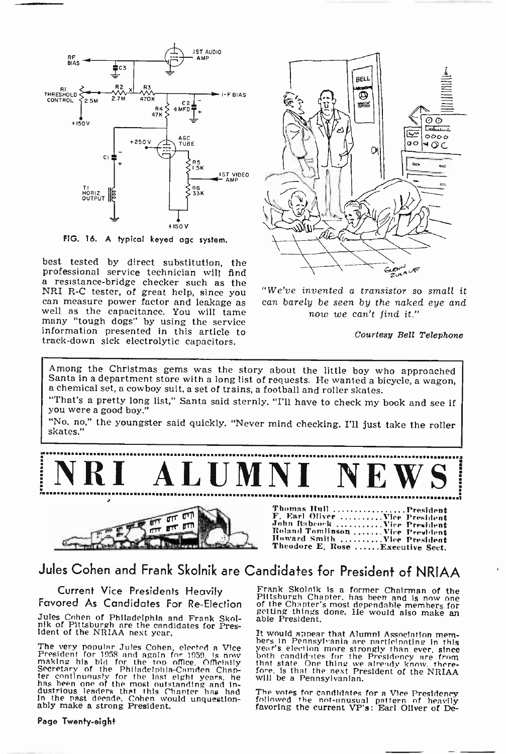

FIG. 16. A typical keyed age system.

best tested by direct substitution, the professional service technician will find a resistance -bridge checker such as the NRI R -C tester, of great help, since you can measure power factor and leakage as well as the capacitance. You will tame many "tough dogs" by using the service information presented in this article to track -down sick electrolytic capacitors.



"We've invented a transistor so small it<br>can barely be seen by the naked eye and<br>now we can't find it." can barely be seen by the naked eye and

Courtesy Bell Telephone

Among the Christmas gems was the story about the little boy who approached<br>Santa in a department store with a long list of requests. He wanted a bicycle, a wagon,<br>a chemical set, a cowboy suit, a set of trains, a football

"That's a pretty long list," Santa said sternly. "I'll have to check my book and see if you were a good boy."

"No, no," the youngster said quickly. "Never mind checking. I'll just take the roller skates."





Thomas Hull ....................President<br>F. Earl Oliver ...........Vice President<br>John Rabro'k ...........Vice President<br>Howard Smith ..........Vice President<br>Heodore E. Rose .......Rxecutive Sect.<br>Theodore E. Rose ...... Theodore E. Rose ...... Executive Sect.

## Jules Cohen and Frank Skolnik are Candidates for President of NRIAA

Current Vice Presidents Heavily Favored As Candidates For Re -Election

Jules Cohen of Philadelphia and Frank Skol- nik of Pittsburgh are the candidates for Pres- ident of the NR1AA next year.

The very popular Jules Cohen, elected a Vice<br>President for 1958 and again for 1959, is now both making his bid for the top office. Officially this<br>Secretary of the Philadelphia-Camden Chap-<br>for the philadelphia-Camden Chap In the past decade. Cohen would unquestion- ably make a strong President.

Page Twenty-eight

Frank Skolnik is a former Chairman of the Pittsburgh Chapter, has been and Is now one of the Chapter's most dependable members for getting things done. He would also make an able President.

It would appear that Alumni Association members in Pennsylvania are particle<br>nation were vear's election more strongly than ever, since both candidates for the Presidency are from<br>that state. One thing we already know, the

The votes for candidates for a Vice Presidency followed the not -unusual pattern of heavily favoring the current VP's: Earl Oliver of De-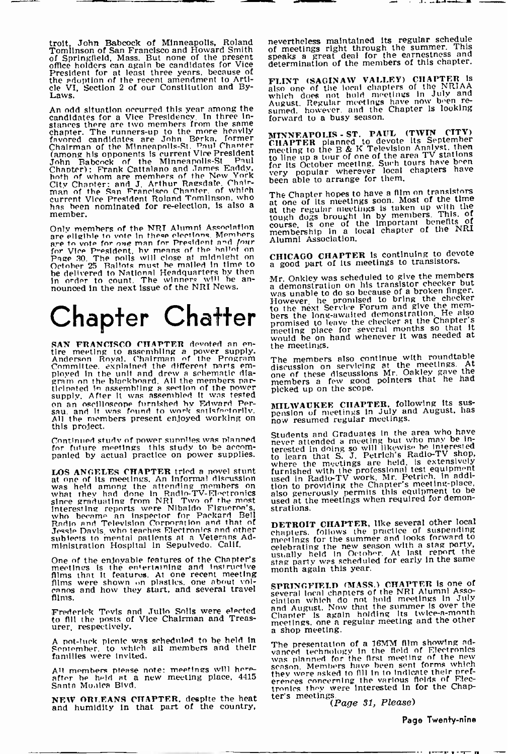troit, John Babcock of Minneapolis, Roland<br>Tomlinson of San Francisco and Howard Smith of<br>Of Springfield, Mass. But none of the present spent<br>office holders can again be candidates for Vice<br>President for at least three yea

An odd situation occurred this year among the candidates for a Vice Presidency. In three in-<br>candidates for a Vice Presidency, In the came stances there are two members from the same<br>thances there are two members from the more heavily<br>favored candidates are John Berka, former<br>Chairman of the Minneapolis-St. Paul Chanter<br>(among his opponents is current Vice Pr City Chapter: and J. Arthur Ragsdale. Chair- man of the San Francisco Chanter. of which current Vice President Roland Tomlinson. who has been nominated for re-election, Is also a member.

Only members of the NRT Alumni Association course, is one of the elections. Members are eligible to vote in these elections. Members are to vote for one man for President and four Alumni Association, for Vice President, by means of the ballot on<br>Page 30. The polls will close at middleth on<br>October 25 Ballots must be malled in time to<br>definer 25 Ballots must be malled in time to<br>the delivered to National Headquarters by

# Chapter Chatter

SAN FRANCISCO CHAPTER devoted an en-<br>tire meeting to assembling a power supply.<br>Anderson Royal. Chairman of the Program<br>Committee. explained the different parts em-<br>ployed in the unit and drew a schematic diagram on the blackboard. All the members particle<br>part in a second of the power pier and pier in a second of the power<br>cupily. After it was assembled it was tested<br>on an oscilloscope furnished by Edward Per-<br>sau, and it was Supply, once it was assembled by Edward Persau, and it was found to work satisfactorily.<br>All the members present enjoyed working on this project.

LOS ANGELES CHAPTER tried a novel stunt ful<br>at one of its meetings, An informal discussion<br>was held among the attending members on tho<br>what they had done in Radio-TV-Electronics als<br>since graduating from NR1 Two of the mos Jessie Davis. who teaches Electronics and other subjects to mental patients at a Veterans Ad-ministration Hospital In Sepuivedo, Calif.

One of the enjoyable features of the Chapter's meetings is the entertaining and Instructive films that it features. At one recent meeting films were shown on plastics, one about vol-<br>ganos and how they start, and several travel  $\sum_{s=1}^{n}$ films.

Frederick Tevis and Julio Soils were elected to fill the posts of Vice Chairman and Treas- urer. respectively.

A pot-luck picnic was scheduled to be held in<br>September, to which all members and their to which all members and their families were Invited.

All members please note: meetings will here.<br>"after be held at a new meeting place, 4415 = t<br>Santa Monica Blvd.

NEW ORLEANS CHAPTER, despite the heat ter and humidity in that part of the country,

nevertheless maintained its regular schedule of meetings right through the summer. This speaks a great deal for the earnestness and determination of the members of this chapter.

وواستقدمت المرابي

FLINT (SAGINAW VALLEY) CHAPTER is<br>also one of the local chapters of the NRIAA<br>which does not hold meetings in July and<br>August. Regular meetings have now been re-<br>sumed, however, and the Chapter is looking

forward to a busy season.<br>
MINNEAPOLIS - ST. PAUL (TWIN CITY)<br>
CHAPTER planned to devote its September<br>
meeting to the B & K Television Analyst, then<br>
to line up a tour of one of the area TV stations<br>
for its October meeti

The Chapter hopes to have a film on transistors at one of Its meetings soon. Most of the time at the regular meetings is taken up with the tough dogs brought in by members. This, of course, is one of the mportant benefits of membership in a local chapter of the NRI Alumni Association.

CHICAGO CHAPTER is continuing to devote<br>a good part of its meetings to transistors.

Mr. Oakley was scheduled to give the members a demonstration on his transistor checker but was unable to do so because of a broken finger. Was amazive to absolute the promised to bring the checker<br>to the next Service Forum and give the mem-<br>bers the long-awaited demonstration. He also<br>promised to leave the checker at the Chapter's<br>promised to leave for severa the meetings.

The members also continue with roundtable<br>discussion on servicing at the meetings. At<br>one of these discussions Mr. Oakley gave the<br>members a few good pointers that he had<br>picked up on the scope.

MILWAUKEE CHAPTER, following its sus-<br>pension of meetings in July and August, has<br>now resumed regular meetings.

Continued study of power supplies was planned<br>for future meetings. this study to be accom-<br>panied by actual practice on power supplies. To learn that S. J. Petrich's Radio-TV shop, Students and Graduates In the area who have<br>never attended a meeting but who may be in-<br>terested in doing so will likewise he interested<br>to learn that S. J. Petrich's Radio-TV shop,<br>where the meetings are held, is extensiv

> **DETROIT CHAPTER, like several other local chapters.** follows the practice of suspending meetings for the summer and looks forward to meetings for the summer and looks forward to meetings for the summer can with a stag party,<br>celebrating the new season with a stag party,<br>usually held in October. At last report the usually used in the scheduled for early in the same<br>stag party was scheduled for early in the same<br>month again this year.

> SPRINGFIELD (MASS.) CHAPTER is one of<br>several local chapters of the NRI Alumni Asso-<br>ciation which do not hold meetings in July<br>and August. Now that the summer is over the<br>Chanter is again holding its twice-a-month<br>meeting

The presentation of a 16MM film showing advanced technology in the field of Electronics was planned for the first meeting of the new season. Members have been sent forms which they were asked to fill in to Indicate their pref- erences concerning the various fields of Electremes they were Interested in for the Chap-<br>ter's meetings.<br>(Page 31, Please)

Page Twenty-nine

. ..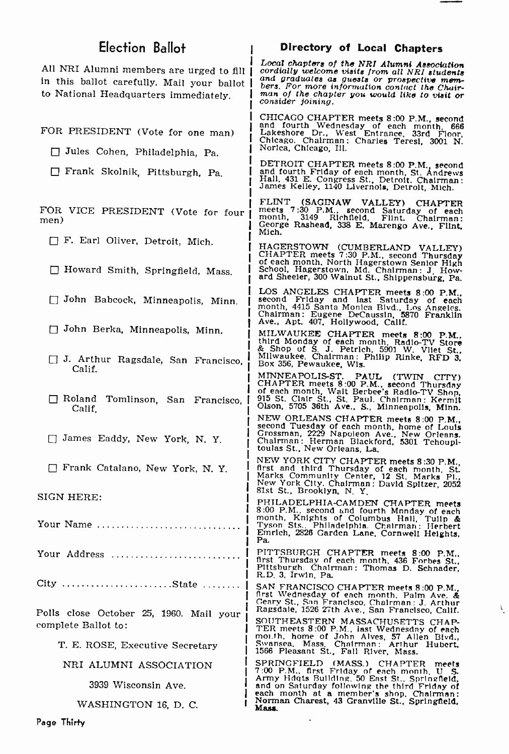| Election Ballot                                                                                                                     | Directory of Local Chapters                                                                                                                                                                                                                                          |  |
|-------------------------------------------------------------------------------------------------------------------------------------|----------------------------------------------------------------------------------------------------------------------------------------------------------------------------------------------------------------------------------------------------------------------|--|
| All NRI Alumni members are urged to fill  <br>in this ballot carefully. Mail your ballot  <br>to National Headquarters immediately. | Local chapters of the NRI Alumni Association<br>cordially welcome visits from all NRI students<br>and graduates as guests or prospective mem-<br>bers. For more information contact the Chair-<br>man of the chapter you would like to visit or<br>consider foining. |  |
| FOR PRESIDENT (Vote for one man)<br>Jules Cohen, Philadelphia, Pa.                                                                  | CHICAGO CHAPTER meets 8:00 P.M., second<br>and fourth Wednesday of each month 666<br>Lakeshore Dr., West Entrance, 33rd Floor,<br>Chicago. Chairman: Charles Teresi, 3001 N.<br>Norica, Chicago, Ill.                                                                |  |
| Frank Skolnik, Pittsburgh, Pa.                                                                                                      | DETROIT CHAPTER meets 8:00 P.M., second<br>and fourth Friday of each month, St. Andrews<br>Hall, 431 E. Congress St., Detroit. Chairman:<br>James Kelley, 1140 Livernois, Detroit, Mich.                                                                             |  |
| FOR VICE PRESIDENT (Vote for four<br>men)                                                                                           | FLINT<br>(SAGINAW VALLEY)<br><b>CHAPTER</b><br>meets 7:30 P.M., second Saturday of each<br>3149 Richfield, Flint. Chairman:<br>month.<br>George Rashead, 338 E. Marengo Ave., Flint,<br>Mich.                                                                        |  |
| F. Earl Oliver, Detroit, Mich.<br>Howard Smith, Springfield, Mass.                                                                  | HAGERSTOWN (CUMBERLAND VALLEY)<br>CHAPTER meets 7:30 P.M., second Thursday<br>of each month, North Hagerstown Senior High<br>School, Hagerstown, Md. Chairman: J. How-<br>ard Sheeler, 300 Walnut St., Shippensburg, Pa.                                             |  |
| John Babcock, Minneapolis, Minn.                                                                                                    | LOS ANGELES CHAPTER meets 8:00 P.M., second Friday and last Saturday of each<br>month, 4415 Santa Monica Blvd., Los Angeles.<br>Chairman: Eugene DeCaussin, 5870 Franklin                                                                                            |  |
| John Berka, Minneapolis, Minn.<br>J. Arthur Ragsdale, San Francisco,                                                                | Ave., Apt. 407, Hollywood, Calif.<br>MILWAUKEE CHAPTER meets 8:00 P.M.,<br>third Monday of each month, Radio-TV Store<br>& Shop of S. J. Petrich, 5901 W. Vliet St.,<br>Milwaukee, Chairman: Philip Rinke, RFD 3.                                                    |  |
| Calif.<br>Roland Tomlinson, San Francisco,<br>Calif.                                                                                | Box 356, Pewaukee, Wis.<br>MINNEAPOLIS-ST.<br>PAUL (TWIN CITY)<br>CHAPTER meets 8:00 P.M., second Thursday<br>of each month, Walt Berbee's Radio-TV Shop.<br>915 St. Clair St., St. Paul. Chairman: Kermit<br>Olson, 5705 36th Ave., S., Minneapolis, Minn.          |  |
| □ James Eaddy, New York, N. Y.                                                                                                      | NEW ORLEANS CHAPTER meets 8:00 P.M.,<br>second Tuesday of each month, home of Louis<br>Grossman, 2229 Napoleon Ave., New Orleans.<br>Crossman, 2229 Napoleon Ave., New Orleans.<br>Chalrman : Herman Blackford, 5301 Tchoupl-<br>toulas St., New Orleans, La.        |  |
| Frank Catalano, New York, N.Y.                                                                                                      | NEW YORK CITY CHAPTER meets 8:30 P.M.<br>first and third Thursday of each month, St.<br>Marks Community Center, 12 St. Marks Pi.<br>New York City. Chairman: David Spitzer, 2052<br>81st St., Brooklyn, N.Y.                                                         |  |
| SIGN HERE:<br>Your Name                                                                                                             | PHILADELPHIA-CAMDEN CHAPTER meets<br>8:00 P.M., second and fourth Mnnday of each<br>month, Knights of Columbus Hall, Tulip & Tyson Sts., Philadelphia. Chairman: Herbert<br>Emrich, 2826 Garden Lane, Cornwell Heights,<br>Pa.                                       |  |
| Your Address                                                                                                                        | PITTSBURGH CHAPTER meets 8:00 P.M.,<br>first Thursday of each month, 436 Forbes St.,<br>Pittsburgh Chairman: Thomas D. Schnader,<br>R.D. 3, Irwin, Pa.                                                                                                               |  |
| City State                                                                                                                          | SAN FRANCISCO CHAPTER meets 8:00 P.M<br>first Wednesday of each month. Palm Ave. &<br>Geary St., San Francisco, Chairman: J. Arthur<br>Ragsdale, 1526 27th Ave., San Francisco, Calif.                                                                               |  |
| Polls close October 25, 1960. Mail your<br>complete Ballot to:                                                                      | SOUTHEASTERN MASSACHUSETTS CHAP-<br>TER meets 8:00 P.M., last Wednesday of each                                                                                                                                                                                      |  |
| T. E. ROSE, Executive Secretary                                                                                                     | morth, home of John Alves, 57 Allen Blvd., Swansea, Mass, Chairman: Arthur Hubert, 1566 Pleasant St., Fall River, Mass.                                                                                                                                              |  |
| NRI ALUMNI ASSOCIATION<br>3939 Wisconsin Ave.                                                                                       | SPRINGFIELD (MASS.) CHAPTER meets<br>7:00 P.M., first Friday of each month, U S.<br>Army Houts Building, 50 East St., Springfield,<br>and on Saturday following the third Friday of                                                                                  |  |
| WASHINGTON 16, D. C.                                                                                                                | each month at a member's shop. Chairman:<br>Norman Charest, 43 Granville St., Springfield,<br>Mass.                                                                                                                                                                  |  |

 $\lambda_i$ 

Page Thirty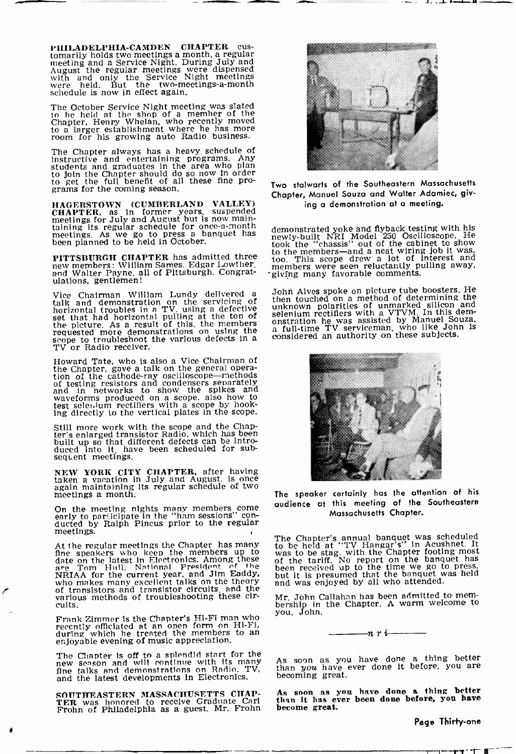PHILADELPHIA -CAMDEN CHAPTER cus- tomarily holds two meetings a month, a regular meeting and a Service Night. During July and August the regular meetings were dispensed with and only the Service Night meetings were held. But the two-meetings a-month schedule is now in effect again.

The October Service Night meeting was slated<br>to he held at tho shop of a member of the<br>Chapter, Henry Whelan, who recently moved<br>to a larger establishment where he has more<br>room for his growlng auto Radio business.

The Chapter always has a heavy schedule of instructive and entertaining programs. Any students and graduates in the area who plan to join the Chapter should do so now in order to get the full benefit of all these fine pro-

grams for the coming season.<br>
HAGERSTOWN (CUMBERLAND VALLEY) CHAPTER, as in former years. suspended meetings for July and August but is now maintaining its regular schedule for once -a -month meetings. As we go to press a banquet has been planned to be held in October.

PITTSBURGH CHAPTER has admitted three to new members: William Sames. Edgar Lowther. and Walter Payne. all of Pittsburgh. Congrat- ulations, gentlemen!

Vice Chairman William Lundy delivered a Jol<br>talk and demonstration on the servicing of the<br>horizontal troubles in a TV, using a defective unit<br>set that had horizontal pulling at the ton of sell<br>the picture. As a result of

Howard Tate, who is also a Vice Chairman of<br>the Chapter, gave a talk on the general opera-<br>tion of the cathode-ray oscilloscope—methods<br>of testing resistors and condensers separately<br>and in networks to show the spikes and<br>

Still more work with the scope and the Chap- ter's enlarged transistor Radio, which has been built up so that different defects can be intro-duced into it. have been scheduled for subsequent meetings.

NEW YORK CITY CHAPTER, after having taken a vacation in July and August, is once again maintaining its regular schedule of two meetings a month.

On the meeting nights many members come early to participate in the "ham sessions" con-<br>ducted by Ralph Pincus prior to the regular meetings.

At the regular meetings the Chapter has many<br>the speakers who keep the members up to<br>date on the latest in Electronics. Among these<br>of are Tom Hull. National President of the<br>NRHA for the current year, and Jim Eaddy, but<br>w

Frank Zimmer is the Chapter's Hi-Fi man who<br>recently officiated at an open form on Hi-Fi,<br>during which he treated the members to an<br>enjoyable evening of music appreciation.

The Chapter is off to a splendid start for the<br>new season and will continue with its many As<br>fine talks and demonstrations on Radio. TV, the and the latest developments In Electronics.

SOUTHEASTERN MASSACHUSETTS CHAP-TER was honored to receive Graduate Carl Frohn of Philadelphia as a guest. Mr. Frohn



Two stalwarts of the Southeastern Massachusetts Chapter, Manuel Souza and Walter Adamiec, giving a demonstration at a meeting.

demonstrated yoke and flyback testing with his newly -built NRI Model 250 Oscilloscope. He took the "chassis" out of the cabinet to show to the members-and a neat wiring job it was, too. This scope drew a lot of Interest and members were seen reluctantly pulling away, giving many favorable comments.

John Alves spoke on picture tube boosters. He ben function a method of determining the<br>then touched on a method of determining the<br>selenium rectifiers of unmarked silicon and<br>selenium rectifiers with a VTVM. In this dem-<br>onstration he was assisted by Manuel Souza,<br>con



The speaker certainly has the attention of his audience at this meeting of the Southeastern Massachusetts Chapter.

The Chapter's annual banquet was scheduled<br>to be held at "TV Hangar's" in Acushnet. It<br>was to be stag, with the Chapter footing most<br>of the tariff. No report on the banquet has<br>been received up to the time we go to press,<br>

Mr. John Callahan has been admitted to mem- bership in the Chapter. A warm welcome to you, John.

n r

As soon as you have done a thing better than you have ever done It before, you are becoming great.

As soon as you have done a thing better than it has ever been done before, you have become great.

Page Thirty-one